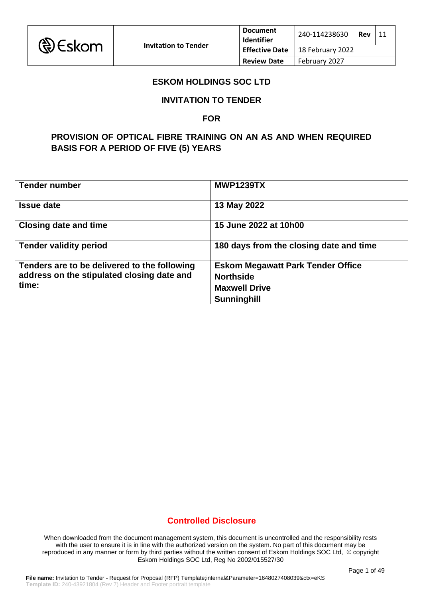

## **ESKOM HOLDINGS SOC LTD**

### **INVITATION TO TENDER**

#### **FOR**

# **PROVISION OF OPTICAL FIBRE TRAINING ON AN AS AND WHEN REQUIRED BASIS FOR A PERIOD OF FIVE (5) YEARS**

| <b>Tender number</b>                         | <b>MWP1239TX</b>                         |
|----------------------------------------------|------------------------------------------|
| <b>Issue date</b>                            | 13 May 2022                              |
| <b>Closing date and time</b>                 | 15 June 2022 at 10h00                    |
| <b>Tender validity period</b>                | 180 days from the closing date and time  |
| Tenders are to be delivered to the following | <b>Eskom Megawatt Park Tender Office</b> |
| address on the stipulated closing date and   | <b>Northside</b>                         |
| time:                                        | <b>Maxwell Drive</b>                     |
|                                              | <b>Sunninghill</b>                       |

## **Controlled Disclosure**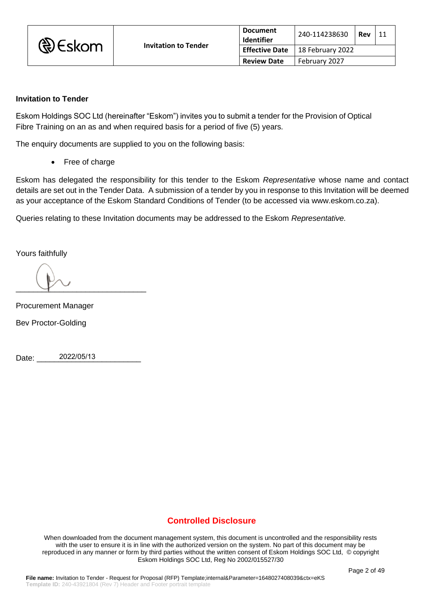| <b>D</b> Eskom | <b>Invitation to Tender</b> | <b>Document</b><br><b>Identifier</b> | 240-114238630    | Rev | 11 |
|----------------|-----------------------------|--------------------------------------|------------------|-----|----|
|                |                             | <b>Effective Date</b>                | 18 February 2022 |     |    |
|                |                             | <b>Review Date</b>                   | February 2027    |     |    |

### **Invitation to Tender**

Eskom Holdings SOC Ltd (hereinafter "Eskom") invites you to submit a tender for the Provision of Optical Fibre Training on an as and when required basis for a period of five (5) years*.*

The enquiry documents are supplied to you on the following basis:

• Free of charge

Eskom has delegated the responsibility for this tender to the Eskom *Representative* whose name and contact details are set out in the Tender Data. A submission of a tender by you in response to this Invitation will be deemed as your acceptance of the Eskom Standard Conditions of Tender (to be accessed via www.eskom.co.za).

Queries relating to these Invitation documents may be addressed to the Eskom *Representative.*

Yours faithfully

 $\longrightarrow$ 

Procurement Manager

Bev Proctor-Golding

Date: 2022/05/13

# **Controlled Disclosure**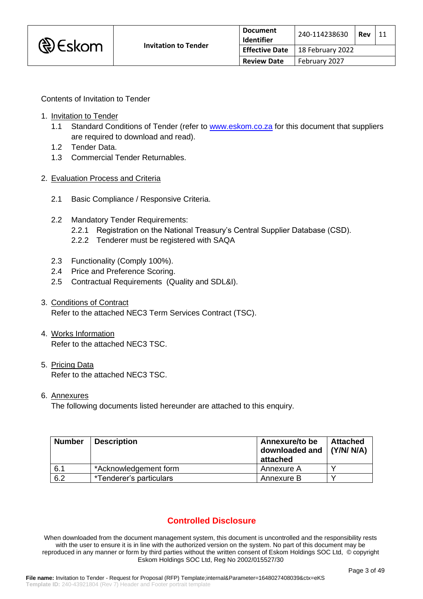

Contents of Invitation to Tender

- 1. Invitation to Tender
	- 1.1 Standard Conditions of Tender (refer to [www.eskom.co.za](http://www.eskom.co.za/) for this document that suppliers are required to download and read).
	- 1.2 Tender Data.
	- 1.3 Commercial Tender Returnables.
- 2. Evaluation Process and Criteria
	- 2.1 Basic Compliance / Responsive Criteria.
	- 2.2 Mandatory Tender Requirements:
		- 2.2.1 Registration on the National Treasury's Central Supplier Database (CSD).
		- 2.2.2 Tenderer must be registered with SAQA
	- 2.3 Functionality (Comply 100%).
	- 2.4 Price and Preference Scoring.
	- 2.5 Contractual Requirements (Quality and SDL&I).
- 3. Conditions of Contract Refer to the attached NEC3 Term Services Contract (TSC).
- 4. Works Information Refer to the attached NEC3 TSC.
- 5. Pricing Data Refer to the attached NEC3 TSC.
- 6. Annexures

The following documents listed hereunder are attached to this enquiry.

| <b>Number</b> | <b>Description</b>      | Annexure/to be<br>downloaded and<br>attached | Attached<br>$\vert$ (Y/N/ N/A) |
|---------------|-------------------------|----------------------------------------------|--------------------------------|
| 6.1           | *Acknowledgement form   | Annexure A                                   |                                |
| 6.2           | *Tenderer's particulars | Annexure B                                   |                                |

# **Controlled Disclosure**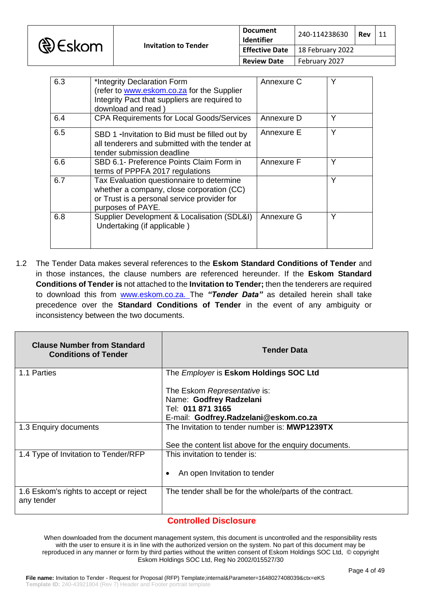

| 6.3 | *Integrity Declaration Form<br>(refer to www.eskom.co.za for the Supplier<br>Integrity Pact that suppliers are required to<br>download and read)           | Annexure C | Y |
|-----|------------------------------------------------------------------------------------------------------------------------------------------------------------|------------|---|
| 6.4 | <b>CPA Requirements for Local Goods/Services</b>                                                                                                           | Annexure D | Υ |
| 6.5 | SBD 1 -Invitation to Bid must be filled out by<br>all tenderers and submitted with the tender at<br>tender submission deadline                             | Annexure E | Υ |
| 6.6 | SBD 6.1- Preference Points Claim Form in<br>terms of PPPFA 2017 regulations                                                                                | Annexure F | Y |
| 6.7 | Tax Evaluation questionnaire to determine<br>whether a company, close corporation (CC)<br>or Trust is a personal service provider for<br>purposes of PAYE. |            | Y |
| 6.8 | Supplier Development & Localisation (SDL&I)<br>Undertaking (if applicable)                                                                                 | Annexure G | Υ |

1.2 The Tender Data makes several references to the **Eskom Standard Conditions of Tender** and in those instances, the clause numbers are referenced hereunder. If the **Eskom Standard Conditions of Tender is** not attached to the **Invitation to Tender;** then the tenderers are required to download this from [www.eskom.co.za.](http://www.eskom.co.za/) The *"Tender Data"* as detailed herein shall take precedence over the **Standard Conditions of Tender** in the event of any ambiguity or inconsistency between the two documents.

| <b>Clause Number from Standard</b><br><b>Conditions of Tender</b> | <b>Tender Data</b>                                                                                                    |  |
|-------------------------------------------------------------------|-----------------------------------------------------------------------------------------------------------------------|--|
| 1.1 Parties                                                       | The <i>Employer</i> is Eskom Holdings SOC Ltd                                                                         |  |
|                                                                   | The Eskom Representative is:<br>Name: Godfrey Radzelani<br>Tel: 011 871 3165<br>E-mail: Godfrey.Radzelani@eskom.co.za |  |
| 1.3 Enquiry documents                                             | The Invitation to tender number is: MWP1239TX                                                                         |  |
|                                                                   | See the content list above for the enquiry documents.                                                                 |  |
| 1.4 Type of Invitation to Tender/RFP                              | This invitation to tender is:                                                                                         |  |
|                                                                   | An open Invitation to tender                                                                                          |  |
| 1.6 Eskom's rights to accept or reject<br>any tender              | The tender shall be for the whole/parts of the contract.                                                              |  |

### **Controlled Disclosure**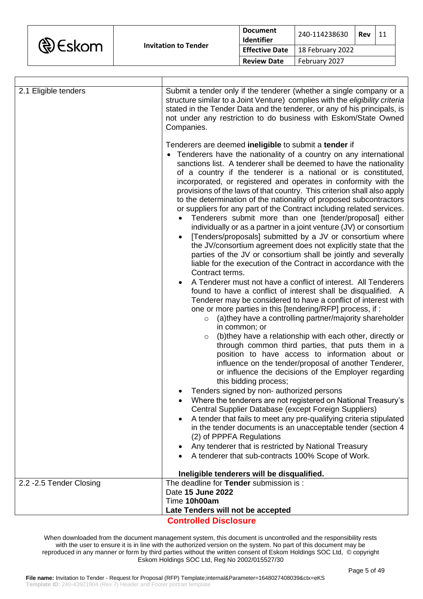| <b>&amp;</b> Eskom |
|--------------------|
|--------------------|

| 2.1 Eligible tenders     | Submit a tender only if the tenderer (whether a single company or a<br>structure similar to a Joint Venture) complies with the eligibility criteria<br>stated in the Tender Data and the tenderer, or any of his principals, is<br>not under any restriction to do business with Eskom/State Owned<br>Companies.<br>Tenderers are deemed ineligible to submit a tender if<br>Tenderers have the nationality of a country on any international<br>sanctions list. A tenderer shall be deemed to have the nationality<br>of a country if the tenderer is a national or is constituted,<br>incorporated, or registered and operates in conformity with the<br>provisions of the laws of that country. This criterion shall also apply<br>to the determination of the nationality of proposed subcontractors<br>or suppliers for any part of the Contract including related services.<br>Tenderers submit more than one [tender/proposal] either<br>individually or as a partner in a joint venture (JV) or consortium<br>[Tenders/proposals] submitted by a JV or consortium where<br>the JV/consortium agreement does not explicitly state that the |  |
|--------------------------|---------------------------------------------------------------------------------------------------------------------------------------------------------------------------------------------------------------------------------------------------------------------------------------------------------------------------------------------------------------------------------------------------------------------------------------------------------------------------------------------------------------------------------------------------------------------------------------------------------------------------------------------------------------------------------------------------------------------------------------------------------------------------------------------------------------------------------------------------------------------------------------------------------------------------------------------------------------------------------------------------------------------------------------------------------------------------------------------------------------------------------------------------|--|
|                          | parties of the JV or consortium shall be jointly and severally<br>liable for the execution of the Contract in accordance with the<br>Contract terms.<br>A Tenderer must not have a conflict of interest. All Tenderers<br>found to have a conflict of interest shall be disqualified. A<br>Tenderer may be considered to have a conflict of interest with<br>one or more parties in this [tendering/RFP] process, if:<br>(a)they have a controlling partner/majority shareholder<br>$\circ$<br>in common; or<br>(b)they have a relationship with each other, directly or<br>$\circ$<br>through common third parties, that puts them in a<br>position to have access to information about or<br>influence on the tender/proposal of another Tenderer,<br>or influence the decisions of the Employer regarding<br>this bidding process;                                                                                                                                                                                                                                                                                                             |  |
|                          | Tenders signed by non- authorized persons<br>Where the tenderers are not registered on National Treasury's<br>Central Supplier Database (except Foreign Suppliers)<br>A tender that fails to meet any pre-qualifying criteria stipulated<br>in the tender documents is an unacceptable tender (section 4<br>(2) of PPPFA Regulations                                                                                                                                                                                                                                                                                                                                                                                                                                                                                                                                                                                                                                                                                                                                                                                                              |  |
|                          | Any tenderer that is restricted by National Treasury<br>A tenderer that sub-contracts 100% Scope of Work.<br>Ineligible tenderers will be disqualified.                                                                                                                                                                                                                                                                                                                                                                                                                                                                                                                                                                                                                                                                                                                                                                                                                                                                                                                                                                                           |  |
| 2.2 - 2.5 Tender Closing | The deadline for Tender submission is:                                                                                                                                                                                                                                                                                                                                                                                                                                                                                                                                                                                                                                                                                                                                                                                                                                                                                                                                                                                                                                                                                                            |  |
|                          | Date 15 June 2022                                                                                                                                                                                                                                                                                                                                                                                                                                                                                                                                                                                                                                                                                                                                                                                                                                                                                                                                                                                                                                                                                                                                 |  |
|                          |                                                                                                                                                                                                                                                                                                                                                                                                                                                                                                                                                                                                                                                                                                                                                                                                                                                                                                                                                                                                                                                                                                                                                   |  |
|                          | Time 10h00am                                                                                                                                                                                                                                                                                                                                                                                                                                                                                                                                                                                                                                                                                                                                                                                                                                                                                                                                                                                                                                                                                                                                      |  |
|                          | Late Tenders will not be accepted                                                                                                                                                                                                                                                                                                                                                                                                                                                                                                                                                                                                                                                                                                                                                                                                                                                                                                                                                                                                                                                                                                                 |  |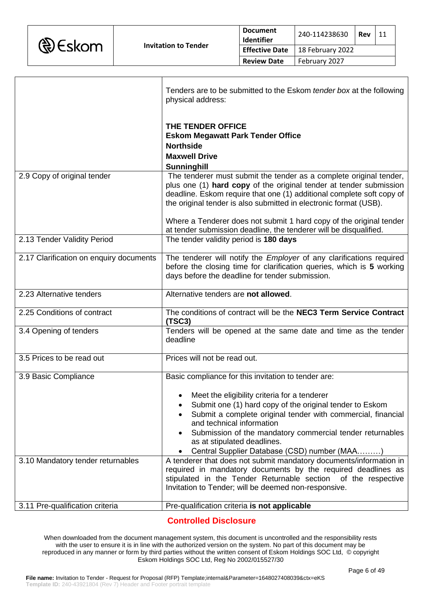

|                                         | Tenders are to be submitted to the Eskom <i>tender box</i> at the following<br>physical address:                                                                                                                                                                                                                                                              |
|-----------------------------------------|---------------------------------------------------------------------------------------------------------------------------------------------------------------------------------------------------------------------------------------------------------------------------------------------------------------------------------------------------------------|
|                                         | THE TENDER OFFICE<br><b>Eskom Megawatt Park Tender Office</b><br><b>Northside</b><br><b>Maxwell Drive</b><br>Sunninghill                                                                                                                                                                                                                                      |
| 2.9 Copy of original tender             | The tenderer must submit the tender as a complete original tender,<br>plus one (1) hard copy of the original tender at tender submission<br>deadline. Eskom require that one (1) additional complete soft copy of<br>the original tender is also submitted in electronic format (USB).<br>Where a Tenderer does not submit 1 hard copy of the original tender |
| 2.13 Tender Validity Period             | at tender submission deadline, the tenderer will be disqualified.<br>The tender validity period is 180 days                                                                                                                                                                                                                                                   |
|                                         |                                                                                                                                                                                                                                                                                                                                                               |
| 2.17 Clarification on enquiry documents | The tenderer will notify the <i>Employer</i> of any clarifications required<br>before the closing time for clarification queries, which is 5 working<br>days before the deadline for tender submission.                                                                                                                                                       |
| 2.23 Alternative tenders                | Alternative tenders are not allowed.                                                                                                                                                                                                                                                                                                                          |
| 2.25 Conditions of contract             | The conditions of contract will be the NEC3 Term Service Contract<br>(TSC3)                                                                                                                                                                                                                                                                                   |
| 3.4 Opening of tenders                  | Tenders will be opened at the same date and time as the tender<br>deadline                                                                                                                                                                                                                                                                                    |
| 3.5 Prices to be read out               | Prices will not be read out.                                                                                                                                                                                                                                                                                                                                  |
| 3.9 Basic Compliance                    | Basic compliance for this invitation to tender are:                                                                                                                                                                                                                                                                                                           |
|                                         | Meet the eligibility criteria for a tenderer<br>Submit one (1) hard copy of the original tender to Eskom<br>Submit a complete original tender with commercial, financial<br>and technical information<br>Submission of the mandatory commercial tender returnables<br>as at stipulated deadlines.<br>Central Supplier Database (CSD) number (MAA)             |
| 3.10 Mandatory tender returnables       | A tenderer that does not submit mandatory documents/information in<br>required in mandatory documents by the required deadlines as<br>stipulated in the Tender Returnable section of the respective<br>Invitation to Tender; will be deemed non-responsive.                                                                                                   |
| 3.11 Pre-qualification criteria         | Pre-qualification criteria is not applicable                                                                                                                                                                                                                                                                                                                  |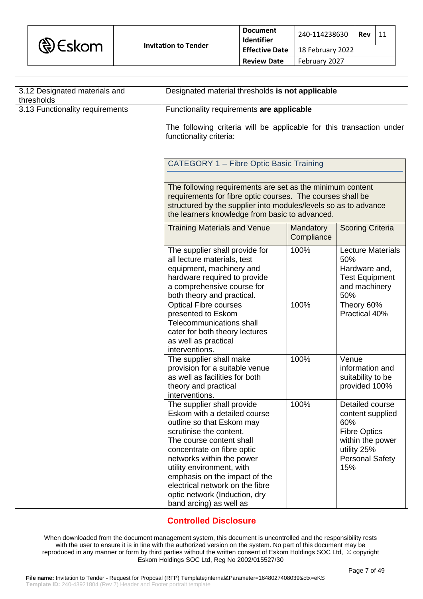

| 3.12 Designated materials and<br>thresholds | Designated material thresholds is not applicable                                                                                                                                                                                                                                                                                                                       |                         |                                                                                                                                       |
|---------------------------------------------|------------------------------------------------------------------------------------------------------------------------------------------------------------------------------------------------------------------------------------------------------------------------------------------------------------------------------------------------------------------------|-------------------------|---------------------------------------------------------------------------------------------------------------------------------------|
| 3.13 Functionality requirements             | Functionality requirements are applicable<br>The following criteria will be applicable for this transaction under<br>functionality criteria:                                                                                                                                                                                                                           |                         |                                                                                                                                       |
|                                             |                                                                                                                                                                                                                                                                                                                                                                        |                         |                                                                                                                                       |
|                                             | <b>CATEGORY 1 - Fibre Optic Basic Training</b>                                                                                                                                                                                                                                                                                                                         |                         |                                                                                                                                       |
|                                             |                                                                                                                                                                                                                                                                                                                                                                        |                         |                                                                                                                                       |
|                                             | The following requirements are set as the minimum content<br>requirements for fibre optic courses. The courses shall be<br>structured by the supplier into modules/levels so as to advance<br>the learners knowledge from basic to advanced.                                                                                                                           |                         |                                                                                                                                       |
|                                             | <b>Training Materials and Venue</b>                                                                                                                                                                                                                                                                                                                                    | Mandatory<br>Compliance | <b>Scoring Criteria</b>                                                                                                               |
|                                             | The supplier shall provide for<br>all lecture materials, test<br>equipment, machinery and<br>hardware required to provide<br>a comprehensive course for<br>both theory and practical.                                                                                                                                                                                  | 100%                    | <b>Lecture Materials</b><br>50%<br>Hardware and,<br><b>Test Equipment</b><br>and machinery<br>50%                                     |
|                                             | <b>Optical Fibre courses</b><br>presented to Eskom<br><b>Telecommunications shall</b><br>cater for both theory lectures<br>as well as practical<br>interventions.                                                                                                                                                                                                      | 100%                    | Theory 60%<br>Practical 40%                                                                                                           |
|                                             | The supplier shall make<br>provision for a suitable venue<br>as well as facilities for both<br>theory and practical<br>interventions.                                                                                                                                                                                                                                  | 100%                    | Venue<br>information and<br>suitability to be<br>provided 100%                                                                        |
|                                             | The supplier shall provide<br>Eskom with a detailed course<br>outline so that Eskom may<br>scrutinise the content.<br>The course content shall<br>concentrate on fibre optic<br>networks within the power<br>utility environment, with<br>emphasis on the impact of the<br>electrical network on the fibre<br>optic network (Induction, dry<br>band arcing) as well as | 100%                    | Detailed course<br>content supplied<br>60%<br><b>Fibre Optics</b><br>within the power<br>utility 25%<br><b>Personal Safety</b><br>15% |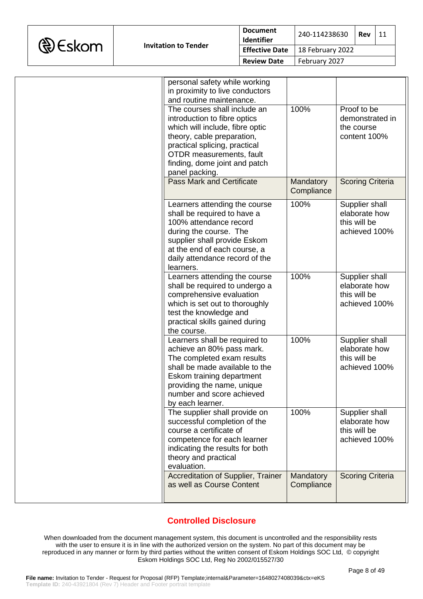

| personal safety while working<br>in proximity to live conductors<br>and routine maintenance.<br>The courses shall include an<br>introduction to fibre optics<br>which will include, fibre optic<br>theory, cable preparation,<br>practical splicing, practical<br>OTDR measurements, fault<br>finding, dome joint and patch | 100%                    | Proof to be<br>demonstrated in<br>the course<br>content 100%     |
|-----------------------------------------------------------------------------------------------------------------------------------------------------------------------------------------------------------------------------------------------------------------------------------------------------------------------------|-------------------------|------------------------------------------------------------------|
| panel packing.<br><b>Pass Mark and Certificate</b>                                                                                                                                                                                                                                                                          | Mandatory<br>Compliance | <b>Scoring Criteria</b>                                          |
| Learners attending the course<br>shall be required to have a<br>100% attendance record<br>during the course. The<br>supplier shall provide Eskom<br>at the end of each course, a<br>daily attendance record of the<br>learners.                                                                                             | 100%                    | Supplier shall<br>elaborate how<br>this will be<br>achieved 100% |
| Learners attending the course<br>shall be required to undergo a<br>comprehensive evaluation<br>which is set out to thoroughly<br>test the knowledge and<br>practical skills gained during<br>the course.                                                                                                                    | 100%                    | Supplier shall<br>elaborate how<br>this will be<br>achieved 100% |
| Learners shall be required to<br>achieve an 80% pass mark.<br>The completed exam results<br>shall be made available to the<br>Eskom training department<br>providing the name, unique<br>number and score achieved<br>by each learner.                                                                                      | 100%                    | Supplier shall<br>elaborate how<br>this will be<br>achieved 100% |
| The supplier shall provide on<br>successful completion of the<br>course a certificate of<br>competence for each learner<br>indicating the results for both<br>theory and practical<br>evaluation.                                                                                                                           | 100%                    | Supplier shall<br>elaborate how<br>this will be<br>achieved 100% |
| Accreditation of Supplier, Trainer<br>as well as Course Content                                                                                                                                                                                                                                                             | Mandatory<br>Compliance | <b>Scoring Criteria</b>                                          |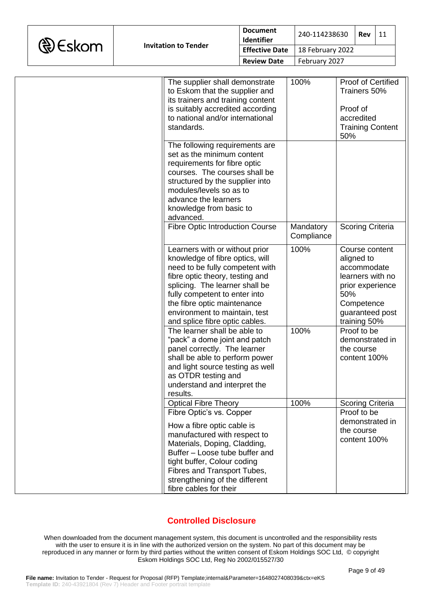|  | <b>D</b> Eskom |
|--|----------------|
|--|----------------|

| The supplier shall demonstrate<br>to Eskom that the supplier and<br>its trainers and training content<br>is suitably accredited according<br>to national and/or international<br>standards.                                                                                                                  | 100%                    | Proof of Certified<br>Trainers 50%<br>Proof of<br>accredited<br><b>Training Content</b><br>50%                                              |
|--------------------------------------------------------------------------------------------------------------------------------------------------------------------------------------------------------------------------------------------------------------------------------------------------------------|-------------------------|---------------------------------------------------------------------------------------------------------------------------------------------|
| The following requirements are<br>set as the minimum content<br>requirements for fibre optic<br>courses. The courses shall be<br>structured by the supplier into<br>modules/levels so as to<br>advance the learners<br>knowledge from basic to<br>advanced.                                                  |                         |                                                                                                                                             |
| <b>Fibre Optic Introduction Course</b>                                                                                                                                                                                                                                                                       | Mandatory<br>Compliance | <b>Scoring Criteria</b>                                                                                                                     |
| Learners with or without prior<br>knowledge of fibre optics, will<br>need to be fully competent with<br>fibre optic theory, testing and<br>splicing. The learner shall be<br>fully competent to enter into<br>the fibre optic maintenance<br>environment to maintain, test<br>and splice fibre optic cables. | 100%                    | Course content<br>aligned to<br>accommodate<br>learners with no<br>prior experience<br>50%<br>Competence<br>guaranteed post<br>training 50% |
| The learner shall be able to<br>"pack" a dome joint and patch<br>panel correctly. The learner<br>shall be able to perform power<br>and light source testing as well<br>as OTDR testing and<br>understand and interpret the<br>results.                                                                       | 100%                    | Proof to be<br>demonstrated in<br>the course<br>content 100%                                                                                |
| <b>Optical Fibre Theory</b>                                                                                                                                                                                                                                                                                  | 100%                    | <b>Scoring Criteria</b>                                                                                                                     |
| Fibre Optic's vs. Copper<br>How a fibre optic cable is<br>manufactured with respect to<br>Materials, Doping, Cladding,<br>Buffer - Loose tube buffer and<br>tight buffer, Colour coding<br>Fibres and Transport Tubes,<br>strengthening of the different                                                     |                         | Proof to be<br>demonstrated in<br>the course<br>content 100%                                                                                |
| fibre cables for their                                                                                                                                                                                                                                                                                       |                         |                                                                                                                                             |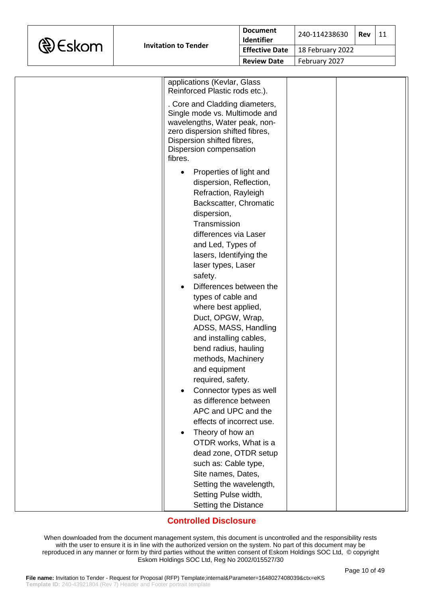

| applications (Kevlar, Glass<br>Reinforced Plastic rods etc.).                                                                                                                                                                                                                                                                                                                                                                                                                                                                                                                                                                                                                                                                                                   |  |
|-----------------------------------------------------------------------------------------------------------------------------------------------------------------------------------------------------------------------------------------------------------------------------------------------------------------------------------------------------------------------------------------------------------------------------------------------------------------------------------------------------------------------------------------------------------------------------------------------------------------------------------------------------------------------------------------------------------------------------------------------------------------|--|
| . Core and Cladding diameters,<br>Single mode vs. Multimode and<br>wavelengths, Water peak, non-<br>zero dispersion shifted fibres,<br>Dispersion shifted fibres,<br>Dispersion compensation<br>fibres.                                                                                                                                                                                                                                                                                                                                                                                                                                                                                                                                                         |  |
| Properties of light and<br>dispersion, Reflection,<br>Refraction, Rayleigh<br>Backscatter, Chromatic<br>dispersion,<br>Transmission<br>differences via Laser<br>and Led, Types of<br>lasers, Identifying the<br>laser types, Laser<br>safety.<br>Differences between the<br>types of cable and<br>where best applied,<br>Duct, OPGW, Wrap,<br>ADSS, MASS, Handling<br>and installing cables,<br>bend radius, hauling<br>methods, Machinery<br>and equipment<br>required, safety.<br>Connector types as well<br>as difference between<br>APC and UPC and the<br>effects of incorrect use.<br>Theory of how an<br>OTDR works, What is a<br>dead zone, OTDR setup<br>such as: Cable type,<br>Site names, Dates,<br>Setting the wavelength,<br>Setting Pulse width, |  |
| Setting the Distance                                                                                                                                                                                                                                                                                                                                                                                                                                                                                                                                                                                                                                                                                                                                            |  |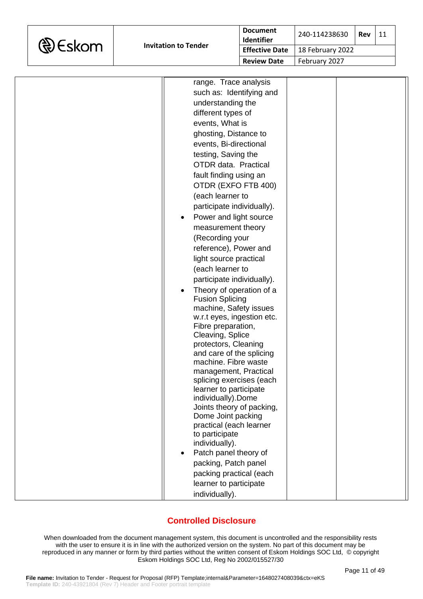

| range. Trace analysis<br>such as: Identifying and<br>understanding the<br>different types of<br>events, What is<br>ghosting, Distance to<br>events, Bi-directional<br>testing, Saving the<br>OTDR data. Practical<br>fault finding using an<br>OTDR (EXFO FTB 400)<br>(each learner to<br>participate individually).<br>Power and light source<br>$\bullet$<br>measurement theory<br>(Recording your<br>reference), Power and<br>light source practical<br>(each learner to<br>participate individually).<br>Theory of operation of a<br><b>Fusion Splicing</b><br>machine, Safety issues<br>w.r.t eyes, ingestion etc.<br>Fibre preparation,<br>Cleaving, Splice<br>protectors, Cleaning<br>and care of the splicing<br>machine. Fibre waste<br>management, Practical |  |
|------------------------------------------------------------------------------------------------------------------------------------------------------------------------------------------------------------------------------------------------------------------------------------------------------------------------------------------------------------------------------------------------------------------------------------------------------------------------------------------------------------------------------------------------------------------------------------------------------------------------------------------------------------------------------------------------------------------------------------------------------------------------|--|
|                                                                                                                                                                                                                                                                                                                                                                                                                                                                                                                                                                                                                                                                                                                                                                        |  |
| splicing exercises (each<br>learner to participate<br>individually).Dome<br>Joints theory of packing,<br>Dome Joint packing                                                                                                                                                                                                                                                                                                                                                                                                                                                                                                                                                                                                                                            |  |
| practical (each learner<br>to participate<br>individually).<br>Patch panel theory of<br>packing, Patch panel<br>packing practical (each<br>learner to participate<br>individually).                                                                                                                                                                                                                                                                                                                                                                                                                                                                                                                                                                                    |  |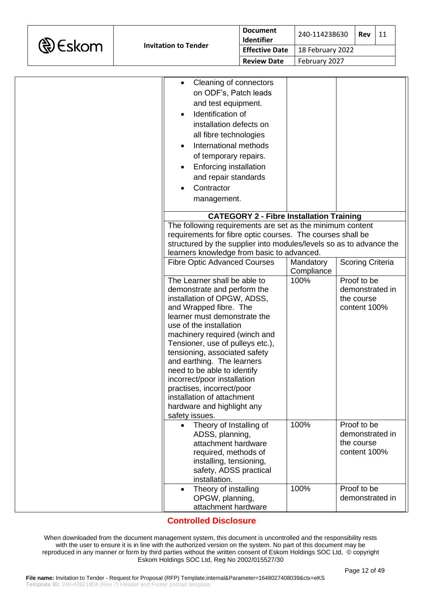|  | <b>D</b> Eskom |
|--|----------------|
|--|----------------|

| Cleaning of connectors<br>on ODF's, Patch leads<br>and test equipment.<br>Identification of<br>installation defects on |                         |                         |
|------------------------------------------------------------------------------------------------------------------------|-------------------------|-------------------------|
| all fibre technologies                                                                                                 |                         |                         |
| International methods                                                                                                  |                         |                         |
| of temporary repairs.                                                                                                  |                         |                         |
| Enforcing installation                                                                                                 |                         |                         |
| and repair standards                                                                                                   |                         |                         |
| Contractor                                                                                                             |                         |                         |
| management.                                                                                                            |                         |                         |
|                                                                                                                        |                         |                         |
| <b>CATEGORY 2 - Fibre Installation Training</b>                                                                        |                         |                         |
| The following requirements are set as the minimum content                                                              |                         |                         |
| requirements for fibre optic courses. The courses shall be                                                             |                         |                         |
| structured by the supplier into modules/levels so as to advance the                                                    |                         |                         |
| learners knowledge from basic to advanced.                                                                             |                         |                         |
| <b>Fibre Optic Advanced Courses</b>                                                                                    | Mandatory<br>Compliance | <b>Scoring Criteria</b> |
| The Learner shall be able to                                                                                           | 100%                    | Proof to be             |
| demonstrate and perform the                                                                                            |                         | demonstrated in         |
| installation of OPGW, ADSS,                                                                                            |                         | the course              |
| and Wrapped fibre. The<br>learner must demonstrate the                                                                 |                         | content 100%            |
| use of the installation                                                                                                |                         |                         |
| machinery required (winch and                                                                                          |                         |                         |
| Tensioner, use of pulleys etc.),                                                                                       |                         |                         |
| tensioning, associated safety                                                                                          |                         |                         |
| and earthing. The learners                                                                                             |                         |                         |
| need to be able to identify                                                                                            |                         |                         |
| incorrect/poor installation                                                                                            |                         |                         |
| practises, incorrect/poor                                                                                              |                         |                         |
| installation of attachment                                                                                             |                         |                         |
| hardware and highlight any<br>safety issues.                                                                           |                         |                         |
| Theory of Installing of                                                                                                | 100%                    | Proof to be             |
| ADSS, planning,                                                                                                        |                         | demonstrated in         |
| attachment hardware                                                                                                    |                         | the course              |
| required, methods of                                                                                                   |                         | content 100%            |
| installing, tensioning,                                                                                                |                         |                         |
| safety, ADSS practical                                                                                                 |                         |                         |
| installation.                                                                                                          |                         |                         |
| Theory of installing                                                                                                   | 100%                    | Proof to be             |
| OPGW, planning,                                                                                                        |                         | demonstrated in         |
| attachment hardware                                                                                                    |                         |                         |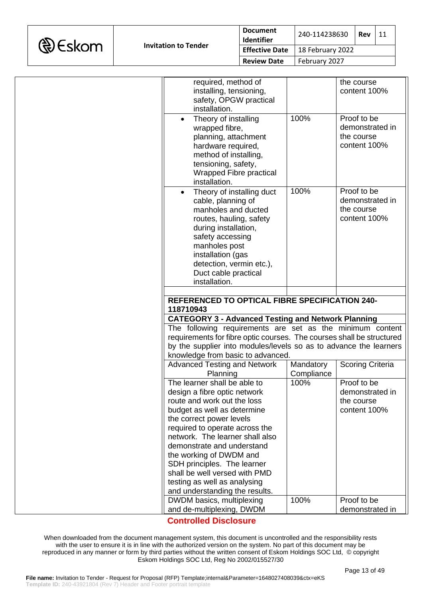

| required, method of<br>installing, tensioning,<br>safety, OPGW practical<br>installation.                                                                                                                                                                |            | the course<br>content 100%                                   |
|----------------------------------------------------------------------------------------------------------------------------------------------------------------------------------------------------------------------------------------------------------|------------|--------------------------------------------------------------|
| Theory of installing<br>$\bullet$<br>wrapped fibre,<br>planning, attachment<br>hardware required,<br>method of installing,<br>tensioning, safety,<br>Wrapped Fibre practical<br>installation.                                                            | 100%       | Proof to be<br>demonstrated in<br>the course<br>content 100% |
| Theory of installing duct<br>cable, planning of<br>manholes and ducted<br>routes, hauling, safety<br>during installation,<br>safety accessing<br>manholes post<br>installation (gas<br>detection, vermin etc.),<br>Duct cable practical<br>installation. | 100%       | Proof to be<br>demonstrated in<br>the course<br>content 100% |
|                                                                                                                                                                                                                                                          |            |                                                              |
|                                                                                                                                                                                                                                                          |            |                                                              |
| <b>REFERENCED TO OPTICAL FIBRE SPECIFICATION 240-</b><br>118710943                                                                                                                                                                                       |            |                                                              |
| <b>CATEGORY 3 - Advanced Testing and Network Planning</b>                                                                                                                                                                                                |            |                                                              |
| The following requirements are set as the minimum content                                                                                                                                                                                                |            |                                                              |
| requirements for fibre optic courses. The courses shall be structured                                                                                                                                                                                    |            |                                                              |
| by the supplier into modules/levels so as to advance the learners                                                                                                                                                                                        |            |                                                              |
| knowledge from basic to advanced.                                                                                                                                                                                                                        |            |                                                              |
| <b>Advanced Testing and Network</b>                                                                                                                                                                                                                      | Mandatory  | <b>Scoring Criteria</b>                                      |
| Planning                                                                                                                                                                                                                                                 | Compliance |                                                              |
| The learner shall be able to                                                                                                                                                                                                                             | 100%       | Proof to be                                                  |
| design a fibre optic network<br>route and work out the loss                                                                                                                                                                                              |            | demonstrated in<br>the course                                |
| budget as well as determine                                                                                                                                                                                                                              |            | content 100%                                                 |
| the correct power levels                                                                                                                                                                                                                                 |            |                                                              |
| required to operate across the                                                                                                                                                                                                                           |            |                                                              |
| network. The learner shall also                                                                                                                                                                                                                          |            |                                                              |
| demonstrate and understand                                                                                                                                                                                                                               |            |                                                              |
| the working of DWDM and                                                                                                                                                                                                                                  |            |                                                              |
| SDH principles. The learner<br>shall be well versed with PMD                                                                                                                                                                                             |            |                                                              |
| testing as well as analysing                                                                                                                                                                                                                             |            |                                                              |
| and understanding the results.                                                                                                                                                                                                                           |            |                                                              |
| DWDM basics, multiplexing<br>and de-multiplexing, DWDM                                                                                                                                                                                                   | 100%       | Proof to be<br>demonstrated in                               |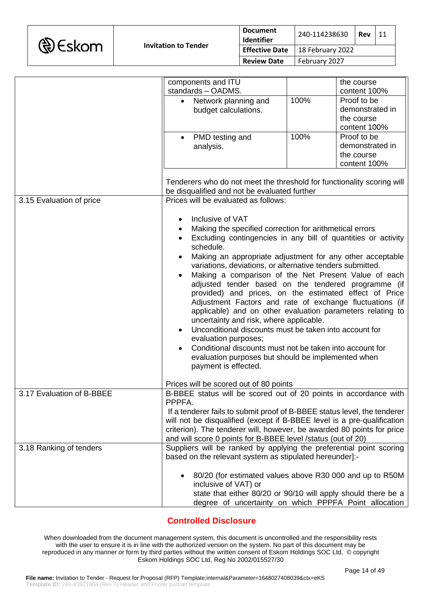

|                           | components and ITU                                                                                                     |      | the course      |
|---------------------------|------------------------------------------------------------------------------------------------------------------------|------|-----------------|
|                           | standards - OADMS.                                                                                                     |      | content 100%    |
|                           | Network planning and                                                                                                   | 100% | Proof to be     |
|                           | budget calculations.                                                                                                   |      | demonstrated in |
|                           |                                                                                                                        |      | the course      |
|                           |                                                                                                                        |      | content 100%    |
|                           | PMD testing and                                                                                                        | 100% | Proof to be     |
|                           | analysis.                                                                                                              |      | demonstrated in |
|                           |                                                                                                                        |      | the course      |
|                           |                                                                                                                        |      | content 100%    |
|                           |                                                                                                                        |      |                 |
|                           | Tenderers who do not meet the threshold for functionality scoring will<br>be disqualified and not be evaluated further |      |                 |
| 3.15 Evaluation of price  | Prices will be evaluated as follows:                                                                                   |      |                 |
|                           |                                                                                                                        |      |                 |
|                           | Inclusive of VAT<br>$\bullet$                                                                                          |      |                 |
|                           | Making the specified correction for arithmetical errors<br>$\bullet$                                                   |      |                 |
|                           | Excluding contingencies in any bill of quantities or activity<br>$\bullet$                                             |      |                 |
|                           | schedule.                                                                                                              |      |                 |
|                           | Making an appropriate adjustment for any other acceptable                                                              |      |                 |
|                           |                                                                                                                        |      |                 |
|                           | variations, deviations, or alternative tenders submitted.                                                              |      |                 |
|                           | Making a comparison of the Net Present Value of each                                                                   |      |                 |
|                           | adjusted tender based on the tendered programme (if                                                                    |      |                 |
|                           | provided) and prices, on the estimated effect of Price                                                                 |      |                 |
|                           | Adjustment Factors and rate of exchange fluctuations (if                                                               |      |                 |
|                           | applicable) and on other evaluation parameters relating to                                                             |      |                 |
|                           | uncertainty and risk, where applicable.                                                                                |      |                 |
|                           | Unconditional discounts must be taken into account for                                                                 |      |                 |
|                           | evaluation purposes;                                                                                                   |      |                 |
|                           | Conditional discounts must not be taken into account for                                                               |      |                 |
|                           | evaluation purposes but should be implemented when                                                                     |      |                 |
|                           | payment is effected.                                                                                                   |      |                 |
|                           |                                                                                                                        |      |                 |
|                           | Prices will be scored out of 80 points                                                                                 |      |                 |
| 3.17 Evaluation of B-BBEE | B-BBEE status will be scored out of 20 points in accordance with                                                       |      |                 |
|                           | PPPFA.                                                                                                                 |      |                 |
|                           | If a tenderer fails to submit proof of B-BBEE status level, the tenderer                                               |      |                 |
|                           | will not be disqualified (except if B-BBEE level is a pre-qualification                                                |      |                 |
|                           | criterion). The tenderer will, however, be awarded 80 points for price                                                 |      |                 |
|                           | and will score 0 points for B-BBEE level /status (out of 20)                                                           |      |                 |
| 3.18 Ranking of tenders   | Suppliers will be ranked by applying the preferential point scoring                                                    |      |                 |
|                           | based on the relevant system as stipulated hereunder]:-                                                                |      |                 |
|                           |                                                                                                                        |      |                 |
|                           | 80/20 (for estimated values above R30 000 and up to R50M                                                               |      |                 |
|                           | inclusive of VAT) or                                                                                                   |      |                 |
|                           |                                                                                                                        |      |                 |
|                           | state that either 80/20 or 90/10 will apply should there be a                                                          |      |                 |
|                           | degree of uncertainty on which PPPFA Point allocation                                                                  |      |                 |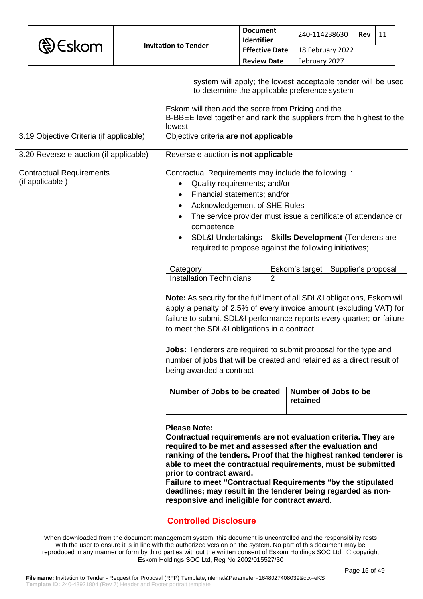|                                                    | being awarded a contract<br>Number of Jobs to be created   Number of Jobs to be<br><b>Please Note:</b><br>Contractual requirements are not evaluation criteria. They are<br>required to be met and assessed after the evaluation and                                                                                                                                                                                    |                | retained       |                                                              |
|----------------------------------------------------|-------------------------------------------------------------------------------------------------------------------------------------------------------------------------------------------------------------------------------------------------------------------------------------------------------------------------------------------------------------------------------------------------------------------------|----------------|----------------|--------------------------------------------------------------|
|                                                    | Note: As security for the fulfilment of all SDL&I obligations, Eskom will<br>apply a penalty of 2.5% of every invoice amount (excluding VAT) for<br>failure to submit SDL&I performance reports every quarter; or failure<br>to meet the SDL&I obligations in a contract.<br>Jobs: Tenderers are required to submit proposal for the type and<br>number of jobs that will be created and retained as a direct result of |                |                |                                                              |
|                                                    | Category<br><b>Installation Technicians</b>                                                                                                                                                                                                                                                                                                                                                                             | $\overline{2}$ | Eskom's target | Supplier's proposal                                          |
| <b>Contractual Requirements</b><br>(if applicable) | Contractual Requirements may include the following:<br>Quality requirements; and/or<br>Financial statements; and/or<br>Acknowledgement of SHE Rules<br>The service provider must issue a certificate of attendance or<br>competence<br>SDL&I Undertakings - Skills Development (Tenderers are<br>required to propose against the following initiatives;                                                                 |                |                |                                                              |
| 3.20 Reverse e-auction (if applicable)             | Reverse e-auction is not applicable                                                                                                                                                                                                                                                                                                                                                                                     |                |                |                                                              |
| 3.19 Objective Criteria (if applicable)            | lowest.<br>Objective criteria are not applicable                                                                                                                                                                                                                                                                                                                                                                        |                |                |                                                              |
|                                                    | Eskom will then add the score from Pricing and the<br>B-BBEE level together and rank the suppliers from the highest to the                                                                                                                                                                                                                                                                                              |                |                |                                                              |
|                                                    | to determine the applicable preference system                                                                                                                                                                                                                                                                                                                                                                           |                |                | system will apply; the lowest acceptable tender will be used |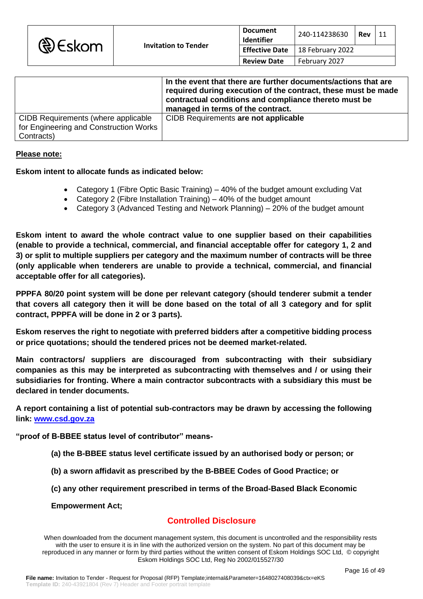|                                        | In the event that there are further documents/actions that are<br>required during execution of the contract, these must be made<br>contractual conditions and compliance thereto must be<br>managed in terms of the contract. |
|----------------------------------------|-------------------------------------------------------------------------------------------------------------------------------------------------------------------------------------------------------------------------------|
| CIDB Requirements (where applicable    | CIDB Requirements are not applicable                                                                                                                                                                                          |
| for Engineering and Construction Works |                                                                                                                                                                                                                               |
| Contracts)                             |                                                                                                                                                                                                                               |

### **Please note:**

### **Eskom intent to allocate funds as indicated below:**

- Category 1 (Fibre Optic Basic Training) 40% of the budget amount excluding Vat
- Category 2 (Fibre Installation Training) 40% of the budget amount
- Category 3 (Advanced Testing and Network Planning) 20% of the budget amount

**Eskom intent to award the whole contract value to one supplier based on their capabilities (enable to provide a technical, commercial, and financial acceptable offer for category 1, 2 and 3) or split to multiple suppliers per category and the maximum number of contracts will be three (only applicable when tenderers are unable to provide a technical, commercial, and financial acceptable offer for all categories).**

**PPPFA 80/20 point system will be done per relevant category (should tenderer submit a tender that covers all category then it will be done based on the total of all 3 category and for split contract, PPPFA will be done in 2 or 3 parts).**

**Eskom reserves the right to negotiate with preferred bidders after a competitive bidding process or price quotations; should the tendered prices not be deemed market-related.** 

**Main contractors/ suppliers are discouraged from subcontracting with their subsidiary companies as this may be interpreted as subcontracting with themselves and / or using their subsidiaries for fronting. Where a main contractor subcontracts with a subsidiary this must be declared in tender documents.** 

**A report containing a list of potential sub-contractors may be drawn by accessing the following link: [www.csd.gov.za](http://www.csd.gov.za/)**

**"proof of B-BBEE status level of contributor" means-**

- **(a) the B-BBEE status level certificate issued by an authorised body or person; or**
- **(b) a sworn affidavit as prescribed by the B-BBEE Codes of Good Practice; or**
- **(c) any other requirement prescribed in terms of the Broad-Based Black Economic**

**Empowerment Act;**

# **Controlled Disclosure**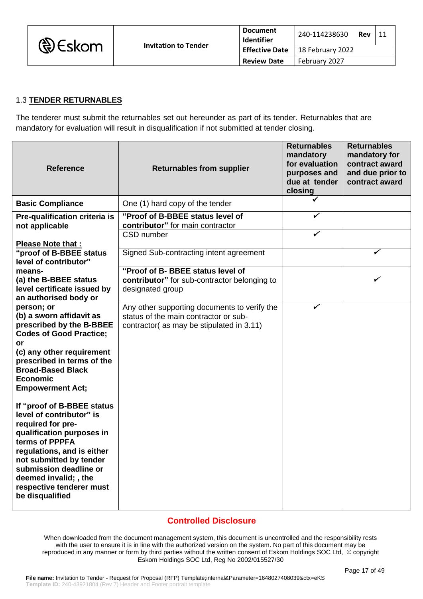

|                       | <b>Document</b><br>Identifier | 240-114238630    | Rev | 11 |
|-----------------------|-------------------------------|------------------|-----|----|
| <b>Effective Date</b> |                               | 18 February 2022 |     |    |
|                       | <b>Review Date</b>            | February 2027    |     |    |

## 1.3 **TENDER RETURNABLES**

The tenderer must submit the returnables set out hereunder as part of its tender. Returnables that are mandatory for evaluation will result in disqualification if not submitted at tender closing.

| <b>Reference</b>                                                                                                                                                                                                                                                                      | <b>Returnables from supplier</b>                                                                                                  | <b>Returnables</b><br>mandatory<br>for evaluation<br>purposes and<br>due at tender<br>closing | <b>Returnables</b><br>mandatory for<br>contract award<br>and due prior to<br>contract award |
|---------------------------------------------------------------------------------------------------------------------------------------------------------------------------------------------------------------------------------------------------------------------------------------|-----------------------------------------------------------------------------------------------------------------------------------|-----------------------------------------------------------------------------------------------|---------------------------------------------------------------------------------------------|
| <b>Basic Compliance</b>                                                                                                                                                                                                                                                               | One (1) hard copy of the tender                                                                                                   |                                                                                               |                                                                                             |
| Pre-qualification criteria is<br>not applicable                                                                                                                                                                                                                                       | "Proof of B-BBEE status level of<br>contributor" for main contractor                                                              | ✓                                                                                             |                                                                                             |
| <b>Please Note that:</b>                                                                                                                                                                                                                                                              | CSD number                                                                                                                        | ✓                                                                                             |                                                                                             |
| "proof of B-BBEE status<br>level of contributor"                                                                                                                                                                                                                                      | Signed Sub-contracting intent agreement                                                                                           |                                                                                               | ✓                                                                                           |
| means-<br>(a) the B-BBEE status<br>level certificate issued by<br>an authorised body or                                                                                                                                                                                               | "Proof of B- BBEE status level of<br>contributor" for sub-contractor belonging to<br>designated group                             |                                                                                               | ✔                                                                                           |
| person; or<br>(b) a sworn affidavit as<br>prescribed by the B-BBEE<br><b>Codes of Good Practice;</b><br>or<br>(c) any other requirement<br>prescribed in terms of the<br><b>Broad-Based Black</b><br><b>Economic</b><br><b>Empowerment Act;</b>                                       | Any other supporting documents to verify the<br>status of the main contractor or sub-<br>contractor(as may be stipulated in 3.11) | ✓                                                                                             |                                                                                             |
| If "proof of B-BBEE status<br>level of contributor" is<br>required for pre-<br>qualification purposes in<br>terms of PPPFA<br>regulations, and is either<br>not submitted by tender<br>submission deadline or<br>deemed invalid; , the<br>respective tenderer must<br>be disqualified |                                                                                                                                   |                                                                                               |                                                                                             |

## **Controlled Disclosure**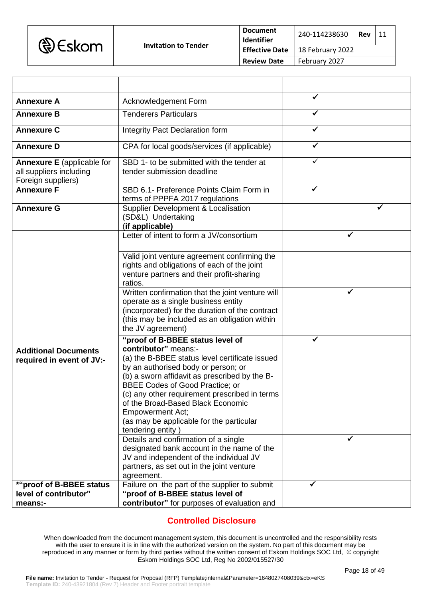| <b>D</b> Eskom |                             | <b>Document</b><br><b>Identifier</b> | 240-114238630            | 11<br>Rev |  |
|----------------|-----------------------------|--------------------------------------|--------------------------|-----------|--|
|                | <b>Invitation to Tender</b> | <b>Effective Date</b>                | $\vert$ 18 February 2022 |           |  |
|                |                             | <b>Review Date</b>                   | February 2027            |           |  |

| <b>Annexure A</b>                                                                  | Acknowledgement Form                                                                                                                                                                                                                                                                                                                                                                                                                                                                        | ✓ |        |
|------------------------------------------------------------------------------------|---------------------------------------------------------------------------------------------------------------------------------------------------------------------------------------------------------------------------------------------------------------------------------------------------------------------------------------------------------------------------------------------------------------------------------------------------------------------------------------------|---|--------|
| <b>Annexure B</b>                                                                  | <b>Tenderers Particulars</b>                                                                                                                                                                                                                                                                                                                                                                                                                                                                | ✓ |        |
| <b>Annexure C</b>                                                                  | Integrity Pact Declaration form                                                                                                                                                                                                                                                                                                                                                                                                                                                             | ✓ |        |
| <b>Annexure D</b>                                                                  | CPA for local goods/services (if applicable)                                                                                                                                                                                                                                                                                                                                                                                                                                                |   |        |
| <b>Annexure E</b> (applicable for<br>all suppliers including<br>Foreign suppliers) | SBD 1- to be submitted with the tender at<br>tender submission deadline                                                                                                                                                                                                                                                                                                                                                                                                                     | ✓ |        |
| <b>Annexure F</b>                                                                  | SBD 6.1- Preference Points Claim Form in<br>terms of PPPFA 2017 regulations                                                                                                                                                                                                                                                                                                                                                                                                                 |   |        |
| <b>Annexure G</b>                                                                  | <b>Supplier Development &amp; Localisation</b><br>(SD&L) Undertaking<br>(if applicable)                                                                                                                                                                                                                                                                                                                                                                                                     |   | ✔      |
|                                                                                    | Letter of intent to form a JV/consortium<br>Valid joint venture agreement confirming the<br>rights and obligations of each of the joint<br>venture partners and their profit-sharing<br>ratios.<br>Written confirmation that the joint venture will<br>operate as a single business entity<br>(incorporated) for the duration of the contract<br>(this may be included as an obligation within                                                                                              |   | ✓<br>✔ |
| <b>Additional Documents</b><br>required in event of JV:-                           | the JV agreement)<br>"proof of B-BBEE status level of<br>contributor" means:-<br>(a) the B-BBEE status level certificate issued<br>by an authorised body or person; or<br>(b) a sworn affidavit as prescribed by the B-<br><b>BBEE Codes of Good Practice; or</b><br>(c) any other requirement prescribed in terms<br>of the Broad-Based Black Economic<br><b>Empowerment Act;</b><br>(as may be applicable for the particular<br>tendering entity)<br>Details and confirmation of a single | ✓ | ✓      |
|                                                                                    | designated bank account in the name of the<br>JV and independent of the individual JV<br>partners, as set out in the joint venture<br>agreement.                                                                                                                                                                                                                                                                                                                                            |   |        |
| *"proof of B-BBEE status<br>level of contributor"<br>means:-                       | Failure on the part of the supplier to submit<br>"proof of B-BBEE status level of<br>contributor" for purposes of evaluation and                                                                                                                                                                                                                                                                                                                                                            |   |        |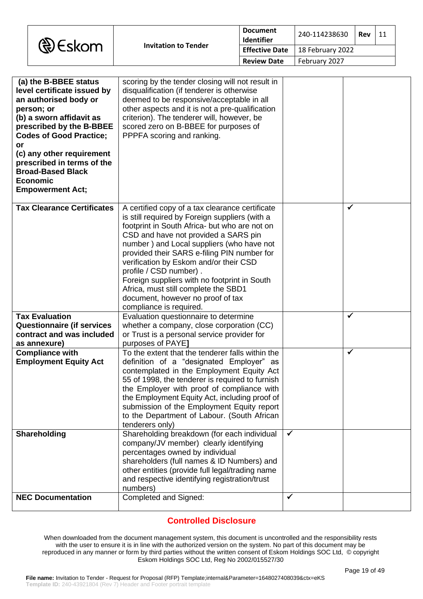| <b>D</b> Eskom |                             | Document<br><b>Identifier</b> | 240-114238630    | Rev | 11 |
|----------------|-----------------------------|-------------------------------|------------------|-----|----|
|                | <b>Invitation to Tender</b> | <b>Effective Date</b>         | 18 February 2022 |     |    |
|                |                             | <b>Review Date</b>            | February 2027    |     |    |

| (a) the B-BBEE status<br>level certificate issued by<br>an authorised body or<br>person; or<br>(b) a sworn affidavit as<br>prescribed by the B-BBEE<br><b>Codes of Good Practice;</b><br>or<br>(c) any other requirement<br>prescribed in terms of the<br><b>Broad-Based Black</b><br><b>Economic</b><br><b>Empowerment Act;</b> | scoring by the tender closing will not result in<br>disqualification (if tenderer is otherwise<br>deemed to be responsive/acceptable in all<br>other aspects and it is not a pre-qualification<br>criterion). The tenderer will, however, be<br>scored zero on B-BBEE for purposes of<br>PPPFA scoring and ranking.                                                                                                                                                                                                |              |              |
|----------------------------------------------------------------------------------------------------------------------------------------------------------------------------------------------------------------------------------------------------------------------------------------------------------------------------------|--------------------------------------------------------------------------------------------------------------------------------------------------------------------------------------------------------------------------------------------------------------------------------------------------------------------------------------------------------------------------------------------------------------------------------------------------------------------------------------------------------------------|--------------|--------------|
| <b>Tax Clearance Certificates</b>                                                                                                                                                                                                                                                                                                | A certified copy of a tax clearance certificate<br>is still required by Foreign suppliers (with a<br>footprint in South Africa- but who are not on<br>CSD and have not provided a SARS pin<br>number) and Local suppliers (who have not<br>provided their SARS e-filing PIN number for<br>verification by Eskom and/or their CSD<br>profile / CSD number).<br>Foreign suppliers with no footprint in South<br>Africa, must still complete the SBD1<br>document, however no proof of tax<br>compliance is required. |              | $\checkmark$ |
| <b>Tax Evaluation</b><br><b>Questionnaire (if services</b><br>contract and was included<br>as annexure)                                                                                                                                                                                                                          | Evaluation questionnaire to determine<br>whether a company, close corporation (CC)<br>or Trust is a personal service provider for<br>purposes of PAYE]                                                                                                                                                                                                                                                                                                                                                             |              | $\checkmark$ |
| <b>Compliance with</b><br><b>Employment Equity Act</b>                                                                                                                                                                                                                                                                           | To the extent that the tenderer falls within the<br>definition of a "designated Employer" as<br>contemplated in the Employment Equity Act<br>55 of 1998, the tenderer is required to furnish<br>the Employer with proof of compliance with<br>the Employment Equity Act, including proof of<br>submission of the Employment Equity report<br>to the Department of Labour. (South African<br>tenderers only)                                                                                                        |              | ✓            |
| Shareholding                                                                                                                                                                                                                                                                                                                     | Shareholding breakdown (for each individual<br>company/JV member) clearly identifying<br>percentages owned by individual<br>shareholders (full names & ID Numbers) and<br>other entities (provide full legal/trading name<br>and respective identifying registration/trust<br>numbers)                                                                                                                                                                                                                             | $\checkmark$ |              |
| <b>NEC Documentation</b>                                                                                                                                                                                                                                                                                                         | Completed and Signed:                                                                                                                                                                                                                                                                                                                                                                                                                                                                                              | $\checkmark$ |              |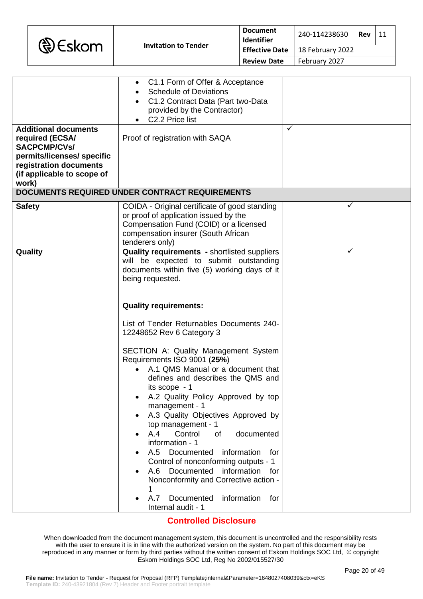| <b>&amp; Eskom</b> |
|--------------------|
|--------------------|

|                                                                                                                                                                      | C1.1 Form of Offer & Acceptance<br>٠<br><b>Schedule of Deviations</b><br>C1.2 Contract Data (Part two-Data<br>$\bullet$<br>provided by the Contractor)<br>C2.2 Price list                                                                                                                                                                                                                                                                                                 |              |                   |
|----------------------------------------------------------------------------------------------------------------------------------------------------------------------|---------------------------------------------------------------------------------------------------------------------------------------------------------------------------------------------------------------------------------------------------------------------------------------------------------------------------------------------------------------------------------------------------------------------------------------------------------------------------|--------------|-------------------|
| <b>Additional documents</b><br>required (ECSA/<br><b>SACPCMP/CVs/</b><br>permits/licenses/ specific<br>registration documents<br>(if applicable to scope of<br>work) | Proof of registration with SAQA                                                                                                                                                                                                                                                                                                                                                                                                                                           | $\checkmark$ |                   |
|                                                                                                                                                                      | DOCUMENTS REQUIRED UNDER CONTRACT REQUIREMENTS                                                                                                                                                                                                                                                                                                                                                                                                                            |              |                   |
| <b>Safety</b>                                                                                                                                                        | COIDA - Original certificate of good standing<br>or proof of application issued by the<br>Compensation Fund (COID) or a licensed<br>compensation insurer (South African<br>tenderers only)                                                                                                                                                                                                                                                                                |              | ✓<br>$\checkmark$ |
| Quality                                                                                                                                                              | Quality requirements - shortlisted suppliers<br>will be expected to submit outstanding<br>documents within five (5) working days of it<br>being requested.<br><b>Quality requirements:</b><br>List of Tender Returnables Documents 240-<br>12248652 Rev 6 Category 3<br>SECTION A: Quality Management System<br>Requirements ISO 9001 (25%)<br>A.1 QMS Manual or a document that<br>$\bullet$                                                                             |              |                   |
|                                                                                                                                                                      | defines and describes the QMS and<br>its scope - 1<br>A.2 Quality Policy Approved by top<br>management - 1<br>A.3 Quality Objectives Approved by<br>top management - 1<br>A.4<br>Control<br>documented<br>οf<br>information - 1<br>A.5 Documented<br>information<br>for<br>Control of nonconforming outputs - 1<br>information<br>A.6<br>Documented<br>for<br>Nonconformity and Corrective action -<br>1<br>Documented<br>information<br>A.7<br>for<br>Internal audit - 1 |              |                   |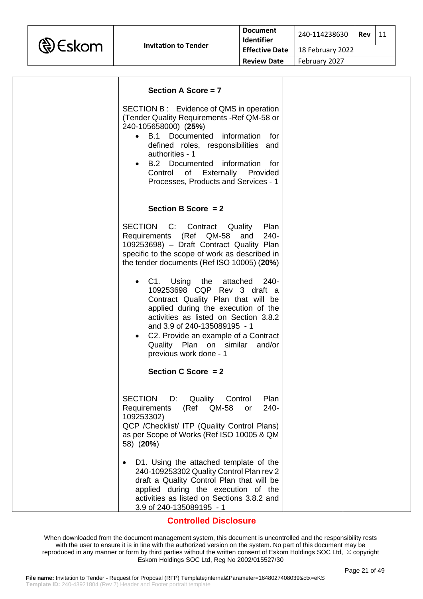

| Section A Score $= 7$                                                                                                                                                                                                                                                                                                               |  |
|-------------------------------------------------------------------------------------------------------------------------------------------------------------------------------------------------------------------------------------------------------------------------------------------------------------------------------------|--|
| SECTION B: Evidence of QMS in operation<br>(Tender Quality Requirements - Ref QM-58 or<br>240-105658000) (25%)<br>B.1 Documented information for<br>$\bullet$<br>defined roles, responsibilities and<br>authorities - 1<br>B.2 Documented information for<br>Control of Externally Provided<br>Processes, Products and Services - 1 |  |
| Section B Score $= 2$                                                                                                                                                                                                                                                                                                               |  |
| SECTION C: Contract Quality<br>Plan<br>Requirements (Ref QM-58 and<br>240-<br>109253698) - Draft Contract Quality Plan<br>specific to the scope of work as described in<br>the tender documents (Ref ISO 10005) (20%)                                                                                                               |  |
| C1. Using the attached<br>240-<br>109253698 CQP Rev 3 draft a<br>Contract Quality Plan that will be<br>applied during the execution of the<br>activities as listed on Section 3.8.2<br>and 3.9 of 240-135089195 - 1<br>C2. Provide an example of a Contract<br>Quality Plan on similar and/or<br>previous work done - 1             |  |
| Section C Score = 2                                                                                                                                                                                                                                                                                                                 |  |
| <b>SECTION</b><br>D: Quality Control<br>Plan<br>Requirements<br>240-<br>(Ref<br>QM-58<br><b>or</b><br>109253302)<br>QCP / Checklist/ ITP (Quality Control Plans)<br>as per Scope of Works (Ref ISO 10005 & QM<br>58) (20%)                                                                                                          |  |
| D1. Using the attached template of the<br>240-109253302 Quality Control Plan rev 2<br>draft a Quality Control Plan that will be<br>applied during the execution of the<br>activities as listed on Sections 3.8.2 and<br>3.9 of 240-135089195 - 1                                                                                    |  |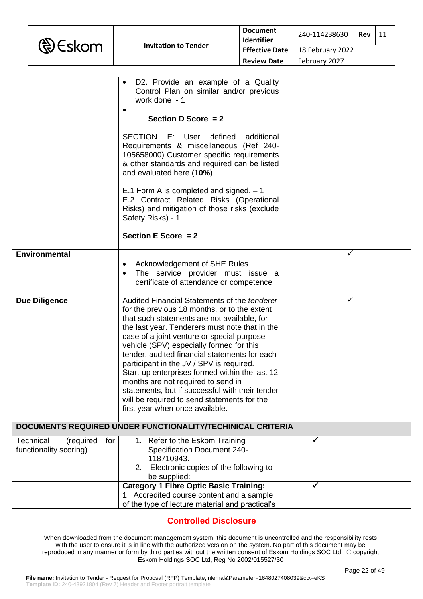

|                                                                | D2. Provide an example of a Quality<br>Control Plan on similar and/or previous<br>work done - 1                                                                                                                                                                                                                                                                                                                                                                                                                                                                                                                   |   |   |
|----------------------------------------------------------------|-------------------------------------------------------------------------------------------------------------------------------------------------------------------------------------------------------------------------------------------------------------------------------------------------------------------------------------------------------------------------------------------------------------------------------------------------------------------------------------------------------------------------------------------------------------------------------------------------------------------|---|---|
|                                                                | Section D Score $= 2$                                                                                                                                                                                                                                                                                                                                                                                                                                                                                                                                                                                             |   |   |
|                                                                | SECTION<br>E: User<br>defined<br>additional<br>Requirements & miscellaneous (Ref 240-<br>105658000) Customer specific requirements<br>& other standards and required can be listed<br>and evaluated here (10%)                                                                                                                                                                                                                                                                                                                                                                                                    |   |   |
|                                                                | E.1 Form A is completed and signed. $-1$<br>E.2 Contract Related Risks (Operational<br>Risks) and mitigation of those risks (exclude<br>Safety Risks) - 1                                                                                                                                                                                                                                                                                                                                                                                                                                                         |   |   |
|                                                                | Section E Score $= 2$                                                                                                                                                                                                                                                                                                                                                                                                                                                                                                                                                                                             |   |   |
| <b>Environmental</b>                                           | Acknowledgement of SHE Rules<br>The service provider must issue a<br>certificate of attendance or competence                                                                                                                                                                                                                                                                                                                                                                                                                                                                                                      |   | ✓ |
| <b>Due Diligence</b>                                           | Audited Financial Statements of the tenderer<br>for the previous 18 months, or to the extent<br>that such statements are not available, for<br>the last year. Tenderers must note that in the<br>case of a joint venture or special purpose<br>vehicle (SPV) especially formed for this<br>tender, audited financial statements for each<br>participant in the JV / SPV is required.<br>Start-up enterprises formed within the last 12<br>months are not required to send in<br>statements, but if successful with their tender<br>will be required to send statements for the<br>first year when once available. |   | ✓ |
|                                                                | DOCUMENTS REQUIRED UNDER FUNCTIONALITY/TECHINICAL CRITERIA                                                                                                                                                                                                                                                                                                                                                                                                                                                                                                                                                        |   |   |
| <b>Technical</b><br>(required<br>for<br>functionality scoring) | 1. Refer to the Eskom Training<br><b>Specification Document 240-</b><br>118710943.<br>Electronic copies of the following to<br>2.<br>be supplied:                                                                                                                                                                                                                                                                                                                                                                                                                                                                 | ✓ |   |
|                                                                | <b>Category 1 Fibre Optic Basic Training:</b><br>1. Accredited course content and a sample                                                                                                                                                                                                                                                                                                                                                                                                                                                                                                                        |   |   |
|                                                                | of the type of lecture material and practical's                                                                                                                                                                                                                                                                                                                                                                                                                                                                                                                                                                   |   |   |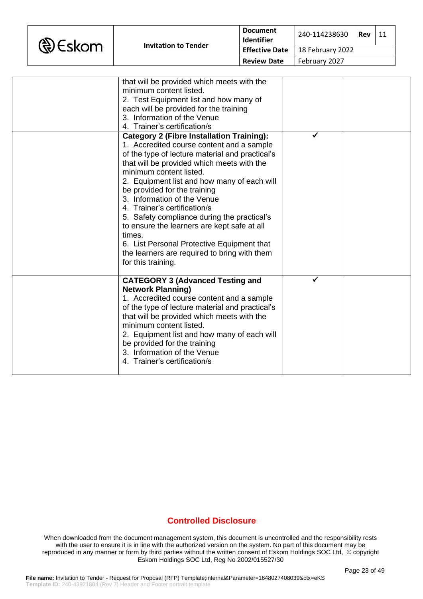|  | <b>&amp;</b> Eskom |
|--|--------------------|
|--|--------------------|

| that will be provided which meets with the<br>minimum content listed.<br>2. Test Equipment list and how many of<br>each will be provided for the training<br>3. Information of the Venue<br>4. Trainer's certification/s                                                                                                                                                                                                                                                                                                                                                                            |   |  |
|-----------------------------------------------------------------------------------------------------------------------------------------------------------------------------------------------------------------------------------------------------------------------------------------------------------------------------------------------------------------------------------------------------------------------------------------------------------------------------------------------------------------------------------------------------------------------------------------------------|---|--|
| <b>Category 2 (Fibre Installation Training):</b><br>1. Accredited course content and a sample<br>of the type of lecture material and practical's<br>that will be provided which meets with the<br>minimum content listed.<br>2. Equipment list and how many of each will<br>be provided for the training<br>3. Information of the Venue<br>4. Trainer's certification/s<br>5. Safety compliance during the practical's<br>to ensure the learners are kept safe at all<br>times.<br>6. List Personal Protective Equipment that<br>the learners are required to bring with them<br>for this training. | ✔ |  |
| <b>CATEGORY 3 (Advanced Testing and</b><br><b>Network Planning)</b><br>1. Accredited course content and a sample<br>of the type of lecture material and practical's<br>that will be provided which meets with the<br>minimum content listed.<br>2. Equipment list and how many of each will<br>be provided for the training<br>3. Information of the Venue<br>4. Trainer's certification/s                                                                                                                                                                                                          |   |  |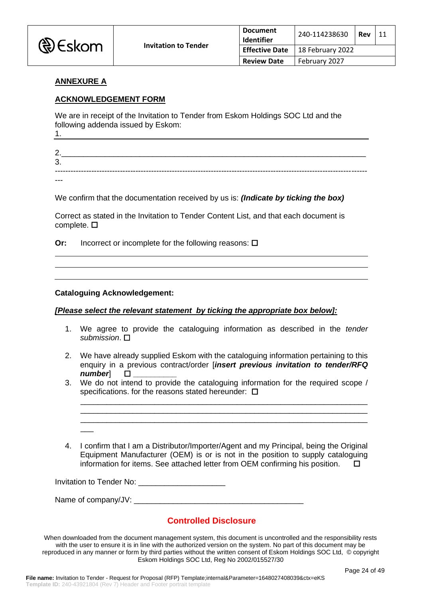

### **ANNEXURE A**

### **ACKNOWLEDGEMENT FORM**

We are in receipt of the Invitation to Tender from Eskom Holdings SOC Ltd and the following addenda issued by Eskom:

1.

2.\_\_\_\_\_\_\_\_\_\_\_\_\_\_\_\_\_\_\_\_\_\_\_\_\_\_\_\_\_\_\_\_\_\_\_\_\_\_\_\_\_\_\_\_\_\_\_\_\_\_\_\_\_\_\_\_\_\_\_\_\_\_\_\_\_\_\_\_\_\_ 3. ------------------------------------------------------------------------------------------------------------------------

---

We confirm that the documentation received by us is: *(Indicate by ticking the box)*

Correct as stated in the Invitation to Tender Content List, and that each document is complete.  $\square$ 

**Or:** Incorrect or incomplete for the following reasons:  $\square$ 

#### **Cataloguing Acknowledgement:**

 $\overline{\phantom{a}}$ 

#### *[Please select the relevant statement by ticking the appropriate box below]:*

- 1. We agree to provide the cataloguing information as described in the *tender submission*.
- 2. We have already supplied Eskom with the cataloguing information pertaining to this enquiry in a previous contract/order [*insert previous invitation to tender/RFQ number*] **\_\_\_\_\_\_\_\_\_\_**
- 3. We do not intend to provide the cataloguing information for the required scope / specifications. for the reasons stated hereunder:

\_\_\_\_\_\_\_\_\_\_\_\_\_\_\_\_\_\_\_\_\_\_\_\_\_\_\_\_\_\_\_\_\_\_\_\_\_\_\_\_\_\_\_\_\_\_\_\_\_\_\_\_\_\_\_\_\_\_\_\_\_\_\_\_\_\_ \_\_\_\_\_\_\_\_\_\_\_\_\_\_\_\_\_\_\_\_\_\_\_\_\_\_\_\_\_\_\_\_\_\_\_\_\_\_\_\_\_\_\_\_\_\_\_\_\_\_\_\_\_\_\_\_\_\_\_\_\_\_\_\_\_\_ \_\_\_\_\_\_\_\_\_\_\_\_\_\_\_\_\_\_\_\_\_\_\_\_\_\_\_\_\_\_\_\_\_\_\_\_\_\_\_\_\_\_\_\_\_\_\_\_\_\_\_\_\_\_\_\_\_\_\_\_\_\_\_\_\_\_

4. I confirm that I am a Distributor/Importer/Agent and my Principal, being the Original Equipment Manufacturer (OEM) is or is not in the position to supply cataloguing information for items. See attached letter from OEM confirming his position. 

Invitation to Tender No: \_\_\_\_\_\_\_\_\_\_\_\_\_\_\_\_\_\_\_\_

Name of company/JV: \_\_\_\_\_\_\_\_\_\_\_\_\_\_\_\_\_\_\_\_\_\_\_\_\_\_\_\_\_\_\_\_\_\_\_\_\_\_\_

## **Controlled Disclosure**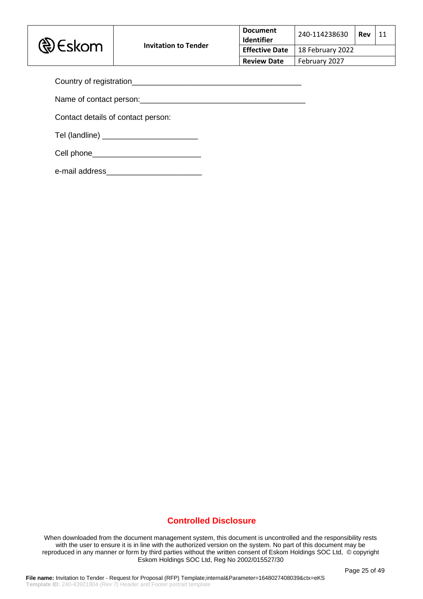

| <b>Document</b><br>Identifier             | 240-114238630 | Rev | 11 |
|-------------------------------------------|---------------|-----|----|
| <b>Effective Date</b><br>18 February 2022 |               |     |    |
| <b>Review Date</b><br>February 2027       |               |     |    |

| Country of registration<br>Sountry of registration |  |
|----------------------------------------------------|--|
| Name of contact person:                            |  |
| Contact details of contact person:                 |  |
| Tel (landline) __________________________          |  |
|                                                    |  |
| e-mail address                                     |  |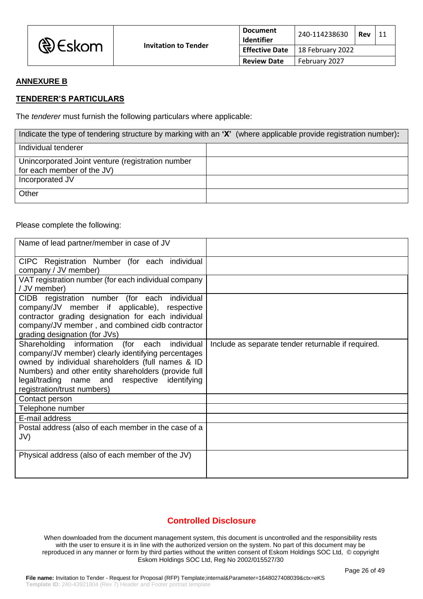| <b>D</b> Eskom | <b>Invitation to Tender</b> | <b>Document</b><br><b>Identifier</b> | 240-114238630    | Rev | -11 |
|----------------|-----------------------------|--------------------------------------|------------------|-----|-----|
|                |                             | <b>Effective Date</b>                | 18 February 2022 |     |     |
|                |                             | <b>Review Date</b>                   | February 2027    |     |     |

# **ANNEXURE B**

### **TENDERER'S PARTICULARS**

The *tenderer* must furnish the following particulars where applicable:

| Indicate the type of tendering structure by marking with an 'X' (where applicable provide registration number): |  |  |
|-----------------------------------------------------------------------------------------------------------------|--|--|
| Individual tenderer                                                                                             |  |  |
| Unincorporated Joint venture (registration number                                                               |  |  |
| for each member of the JV)                                                                                      |  |  |
| Incorporated JV                                                                                                 |  |  |
| Other                                                                                                           |  |  |

#### Please complete the following:

| Name of lead partner/member in case of JV                                                                                                                                                                                                                                                        |                                                    |
|--------------------------------------------------------------------------------------------------------------------------------------------------------------------------------------------------------------------------------------------------------------------------------------------------|----------------------------------------------------|
| CIPC Registration Number (for each individual<br>company / JV member)                                                                                                                                                                                                                            |                                                    |
| VAT registration number (for each individual company<br>/ JV member)                                                                                                                                                                                                                             |                                                    |
| registration number (for each individual<br><b>CIDB</b><br>company/JV member if applicable), respective<br>contractor grading designation for each individual<br>company/JV member, and combined cidb contractor<br>grading designation (for JVs)                                                |                                                    |
| Shareholding information (for each individual<br>company/JV member) clearly identifying percentages<br>owned by individual shareholders (full names & ID<br>Numbers) and other entity shareholders (provide full<br>legal/trading name and respective identifying<br>registration/trust numbers) | Include as separate tender returnable if required. |
| Contact person                                                                                                                                                                                                                                                                                   |                                                    |
| Telephone number                                                                                                                                                                                                                                                                                 |                                                    |
| E-mail address<br>Postal address (also of each member in the case of a<br>JV)                                                                                                                                                                                                                    |                                                    |
| Physical address (also of each member of the JV)                                                                                                                                                                                                                                                 |                                                    |

## **Controlled Disclosure**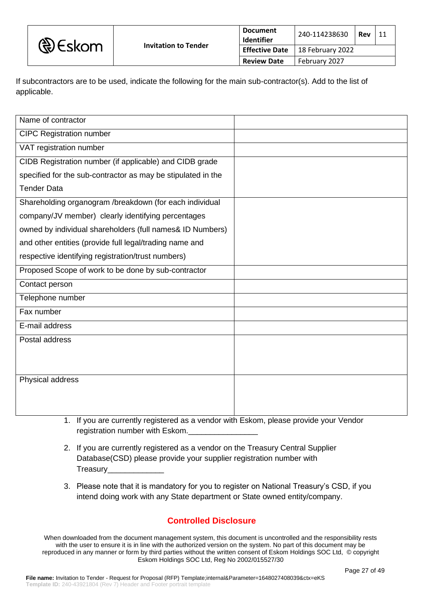| <b>D</b> Eskom | <b>Invitation to Tender</b> | Document<br>Identifier | 240-114238630    | Rev |  |
|----------------|-----------------------------|------------------------|------------------|-----|--|
|                |                             | Effective Date         | 18 February 2022 |     |  |
|                |                             | <b>Review Date</b>     | February 2027    |     |  |

If subcontractors are to be used, indicate the following for the main sub-contractor(s). Add to the list of applicable.

| Name of contractor                                           |  |
|--------------------------------------------------------------|--|
| <b>CIPC Registration number</b>                              |  |
| VAT registration number                                      |  |
| CIDB Registration number (if applicable) and CIDB grade      |  |
| specified for the sub-contractor as may be stipulated in the |  |
| <b>Tender Data</b>                                           |  |
| Shareholding organogram /breakdown (for each individual      |  |
| company/JV member) clearly identifying percentages           |  |
| owned by individual shareholders (full names& ID Numbers)    |  |
| and other entities (provide full legal/trading name and      |  |
| respective identifying registration/trust numbers)           |  |
| Proposed Scope of work to be done by sub-contractor          |  |
| Contact person                                               |  |
| Telephone number                                             |  |
| Fax number                                                   |  |
| E-mail address                                               |  |
| Postal address                                               |  |
|                                                              |  |
|                                                              |  |
| Physical address                                             |  |
|                                                              |  |
|                                                              |  |

- 1. If you are currently registered as a vendor with Eskom, please provide your Vendor registration number with Eskom.
- 2. If you are currently registered as a vendor on the Treasury Central Supplier Database(CSD) please provide your supplier registration number with Treasury\_\_\_\_\_\_\_\_\_\_\_\_\_
- 3. Please note that it is mandatory for you to register on National Treasury's CSD, if you intend doing work with any State department or State owned entity/company.

# **Controlled Disclosure**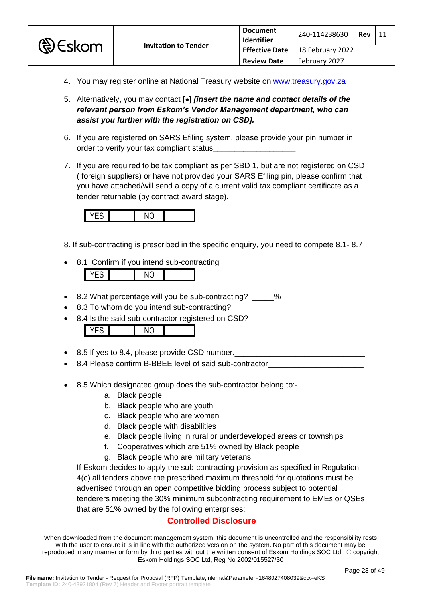

- 4. You may register online at National Treasury website on [www.treasury.gov.za](http://www.treasury.gov.za/)
- 5. Alternatively, you may contact **[**•**]** *[insert the name and contact details of the relevant person from Eskom's Vendor Management department, who can assist you further with the registration on CSD].*
- 6. If you are registered on SARS Efiling system, please provide your pin number in order to verify your tax compliant status\_
- 7. If you are required to be tax compliant as per SBD 1, but are not registered on CSD ( foreign suppliers) or have not provided your SARS Efiling pin, please confirm that you have attached/will send a copy of a current valid tax compliant certificate as a tender returnable (by contract award stage).



- 8. If sub-contracting is prescribed in the specific enquiry, you need to compete 8.1- 8.7
- 8.1 Confirm if you intend sub-contracting



- 8.2 What percentage will you be sub-contracting? \_\_\_\_\_%
- 8.3 To whom do you intend sub-contracting?
- 8.4 Is the said sub-contractor registered on CSD?

YES NO

- 8.5 If yes to 8.4, please provide CSD number.
- 8.4 Please confirm B-BBEE level of said sub-contractor
- 8.5 Which designated group does the sub-contractor belong to:
	- a. Black people
	- b. Black people who are youth
	- c. Black people who are women
	- d. Black people with disabilities
	- e. Black people living in rural or underdeveloped areas or townships
	- f. Cooperatives which are 51% owned by Black people
	- g. Black people who are military veterans

If Eskom decides to apply the sub-contracting provision as specified in Regulation 4(c) all tenders above the prescribed maximum threshold for quotations must be advertised through an open competitive bidding process subject to potential tenderers meeting the 30% minimum subcontracting requirement to EMEs or QSEs that are 51% owned by the following enterprises:

# **Controlled Disclosure**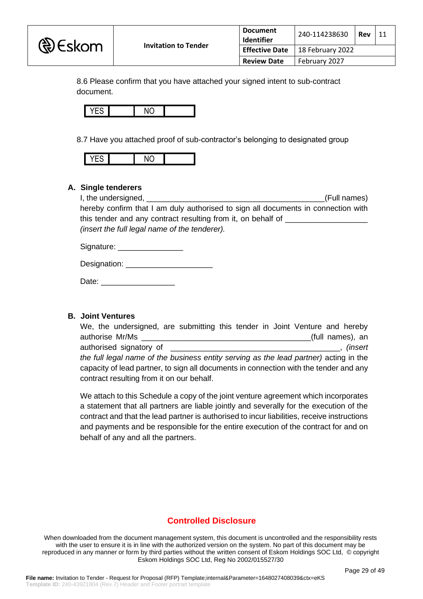

| <b>Document</b><br>Identifier | 240-114238630    | Rev | 11 |
|-------------------------------|------------------|-----|----|
| <b>Effective Date</b>         | 18 February 2022 |     |    |
| <b>Review Date</b>            | February 2027    |     |    |

8.6 Please confirm that you have attached your signed intent to sub-contract document.



8.7 Have you attached proof of sub-contractor's belonging to designated group



### **A. Single tenderers**

I, the undersigned, \_\_\_\_\_\_\_\_\_\_\_\_\_\_\_\_\_\_\_\_\_\_\_\_\_\_\_\_\_\_\_\_\_\_\_\_\_\_\_\_\_(Full names) hereby confirm that I am duly authorised to sign all documents in connection with this tender and any contract resulting from it, on behalf of \_\_\_\_\_\_\_\_\_\_\_\_\_\_\_\_\_\_\_ *(insert the full legal name of the tenderer).*

Signature:

Designation: **Example 20** 

Date: \_\_\_\_\_\_\_\_\_\_\_\_\_\_\_\_\_

#### **B. Joint Ventures**

| We, the undersigned, are submitting this tender in Joint Venture and hereby           |                  |
|---------------------------------------------------------------------------------------|------------------|
| authorise Mr/Ms                                                                       | (full names), an |
|                                                                                       |                  |
| the full legal name of the business entity serving as the lead partner) acting in the |                  |
| capacity of lead partner, to sign all documents in connection with the tender and any |                  |
| contract resulting from it on our behalf.                                             |                  |

We attach to this Schedule a copy of the joint venture agreement which incorporates a statement that all partners are liable jointly and severally for the execution of the contract and that the lead partner is authorised to incur liabilities, receive instructions and payments and be responsible for the entire execution of the contract for and on behalf of any and all the partners.

## **Controlled Disclosure**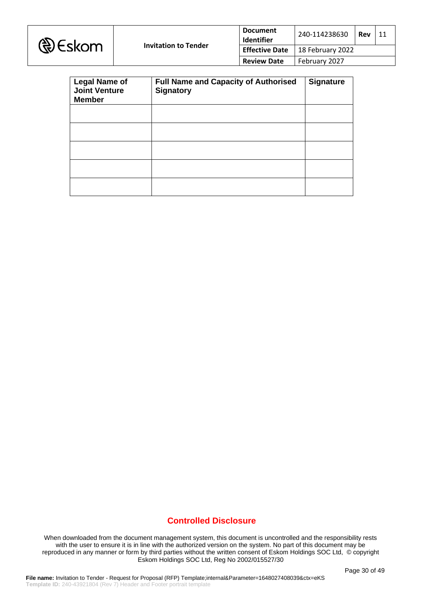|  | <b>D</b> Eskom |
|--|----------------|
|--|----------------|

| <b>Legal Name of</b><br><b>Joint Venture</b><br><b>Member</b> | <b>Full Name and Capacity of Authorised</b><br><b>Signatory</b> | <b>Signature</b> |
|---------------------------------------------------------------|-----------------------------------------------------------------|------------------|
|                                                               |                                                                 |                  |
|                                                               |                                                                 |                  |
|                                                               |                                                                 |                  |
|                                                               |                                                                 |                  |
|                                                               |                                                                 |                  |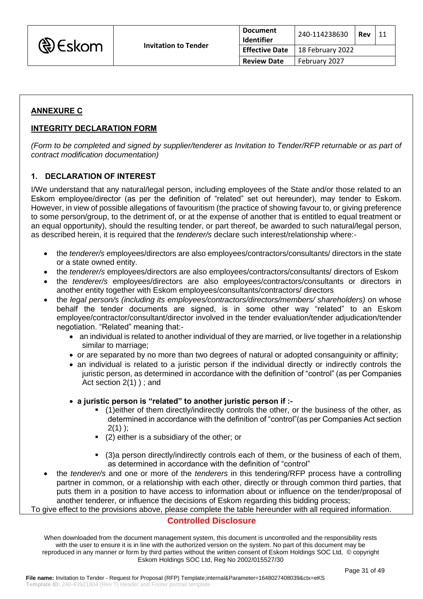

| <b>Document</b><br>Identifier | 240-114238630    | Rev |  |
|-------------------------------|------------------|-----|--|
| <b>Effective Date</b>         | 18 February 2022 |     |  |
| <b>Review Date</b>            | February 2027    |     |  |

## **ANNEXURE C**

### **INTEGRITY DECLARATION FORM**

*(Form to be completed and signed by supplier/tenderer as Invitation to Tender/RFP returnable or as part of contract modification documentation)*

### **1. DECLARATION OF INTEREST**

I/We understand that any natural/legal person, including employees of the State and/or those related to an Eskom employee/director (as per the definition of "related" set out hereunder), may tender to Eskom. However, in view of possible allegations of favouritism (the practice of showing favour to, or giving preference to some person/group, to the detriment of, or at the expense of another that is entitled to equal treatment or an equal opportunity), should the resulting tender, or part thereof, be awarded to such natural/legal person, as described herein, it is required that the *tenderer/s* declare such interest/relationship where:-

- the *tenderer/s* employees/directors are also employees/contractors/consultants/ directors in the state or a state owned entity.
- the *tenderer/s* employees/directors are also employees/contractors/consultants/ directors of Eskom
- the *tenderer/s* employees/directors are also employees/contractors/consultants or directors in another entity together with Eskom employees/consultants/contractors/ directors
- the *legal person/s (including its employees/contractors/directors/members/ shareholders)* on whose behalf the tender documents are signed, is in some other way "related" to an Eskom employee/contractor/consultant/director involved in the tender evaluation/tender adjudication/tender negotiation. "Related" meaning that:-
	- an individual is related to another individual of they are married, or live together in a relationship similar to marriage;
	- or are separated by no more than two degrees of natural or adopted consanguinity or affinity;
	- an individual is related to a juristic person if the individual directly or indirectly controls the juristic person, as determined in accordance with the definition of "control" (as per Companies Act section 2(1) ) ; and
	- **a juristic person is "related" to another juristic person if :-**
		- (1)either of them directly/indirectly controls the other, or the business of the other, as determined in accordance with the definition of "control"(as per Companies Act section  $2(1)$  ):
		- (2) either is a subsidiary of the other; or
		- (3)a person directly/indirectly controls each of them, or the business of each of them, as determined in accordance with the definition of "control"
- the *tenderer/s* and one or more of the *tenderers* in this tendering/RFP process have a controlling partner in common, or a relationship with each other, directly or through common third parties, that puts them in a position to have access to information about or influence on the tender/proposal of another tenderer, or influence the decisions of Eskom regarding this bidding process;

To give effect to the provisions above, please complete the table hereunder with all required information.

### **Controlled Disclosure**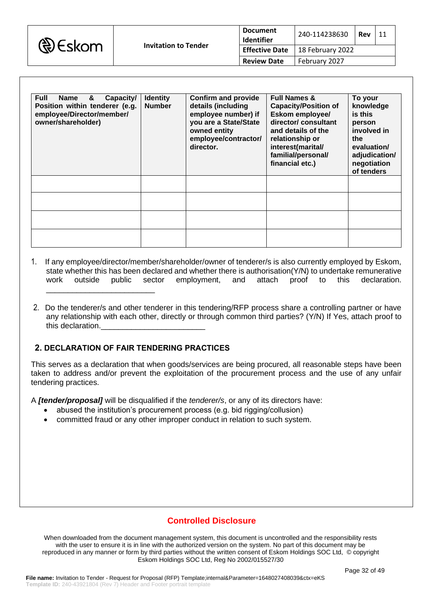

| <b>Document</b><br>Identifier | 240-114238630    | Rev |  |
|-------------------------------|------------------|-----|--|
| <b>Effective Date</b>         | 18 February 2022 |     |  |
| <b>Review Date</b>            | February 2027    |     |  |

| <b>Full</b><br>Capacity/<br>Name<br>&<br>Position within tenderer (e.g.<br>employee/Director/member/<br>owner/shareholder) | <b>Identity</b><br><b>Number</b> | <b>Confirm and provide</b><br>details (including<br>employee number) if<br>you are a State/State<br>owned entity<br>employee/contractor/<br>director. | <b>Full Names &amp;</b><br><b>Capacity/Position of</b><br>Eskom employee/<br>director/ consultant<br>and details of the<br>relationship or<br>interest(marital/<br>familial/personal/<br>financial etc.) | To your<br>knowledge<br>is this<br>person<br>involved in<br>the<br>evaluation/<br>adjudication/<br>negotiation<br>of tenders |
|----------------------------------------------------------------------------------------------------------------------------|----------------------------------|-------------------------------------------------------------------------------------------------------------------------------------------------------|----------------------------------------------------------------------------------------------------------------------------------------------------------------------------------------------------------|------------------------------------------------------------------------------------------------------------------------------|
|                                                                                                                            |                                  |                                                                                                                                                       |                                                                                                                                                                                                          |                                                                                                                              |
|                                                                                                                            |                                  |                                                                                                                                                       |                                                                                                                                                                                                          |                                                                                                                              |
|                                                                                                                            |                                  |                                                                                                                                                       |                                                                                                                                                                                                          |                                                                                                                              |
|                                                                                                                            |                                  |                                                                                                                                                       |                                                                                                                                                                                                          |                                                                                                                              |

- 1. If any employee/director/member/shareholder/owner of tenderer/s is also currently employed by Eskom, state whether this has been declared and whether there is authorisation(Y/N) to undertake remunerative work outside public sector employment, and attach proof to this declaration. \_\_\_\_\_\_\_\_\_\_\_\_\_\_\_\_\_\_\_\_\_\_\_\_\_
- 2. Do the tenderer/s and other tenderer in this tendering/RFP process share a controlling partner or have any relationship with each other, directly or through common third parties? (Y/N) If Yes, attach proof to this declaration.

## **2. DECLARATION OF FAIR TENDERING PRACTICES**

This serves as a declaration that when goods/services are being procured, all reasonable steps have been taken to address and/or prevent the exploitation of the procurement process and the use of any unfair tendering practices.

A *[tender/proposal]* will be disqualified if the *tenderer/s*, or any of its directors have:

- abused the institution's procurement process (e.g. bid rigging/collusion)
- committed fraud or any other improper conduct in relation to such system.

## **Controlled Disclosure**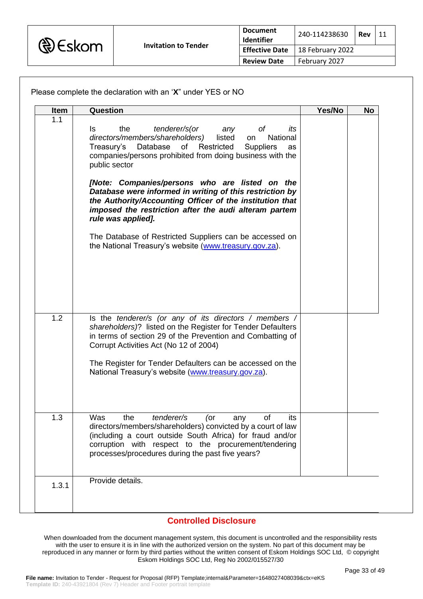

| Item  | Question                                                                                                                                                                                                                                                                                    | Yes/No | <b>No</b> |
|-------|---------------------------------------------------------------------------------------------------------------------------------------------------------------------------------------------------------------------------------------------------------------------------------------------|--------|-----------|
| 1.1   | tenderer/s(or<br>the<br>Is.<br>any<br>Οf<br>its<br>directors/members/shareholders)<br>listed<br>National<br>on<br>of Restricted<br>Database<br>Treasury's<br><b>Suppliers</b><br>as<br>companies/persons prohibited from doing business with the<br>public sector                           |        |           |
|       | [Note: Companies/persons who are listed on the<br>Database were informed in writing of this restriction by<br>the Authority/Accounting Officer of the institution that<br>imposed the restriction after the audi alteram partem<br>rule was applied].                                       |        |           |
|       | The Database of Restricted Suppliers can be accessed on<br>the National Treasury's website (www.treasury.gov.za).                                                                                                                                                                           |        |           |
| 1.2   | Is the tenderer/s (or any of its directors / members /<br>shareholders)? listed on the Register for Tender Defaulters<br>in terms of section 29 of the Prevention and Combatting of<br>Corrupt Activities Act (No 12 of 2004)                                                               |        |           |
|       | The Register for Tender Defaulters can be accessed on the<br>National Treasury's website (www.treasury.gov.za).                                                                                                                                                                             |        |           |
| 1.3   | Was<br>tenderer/s<br>the<br>of<br>(or<br>its<br>any<br>directors/members/shareholders) convicted by a court of law<br>(including a court outside South Africa) for fraud and/or<br>corruption with respect to the procurement/tendering<br>processes/procedures during the past five years? |        |           |
| 1.3.1 | Provide details.                                                                                                                                                                                                                                                                            |        |           |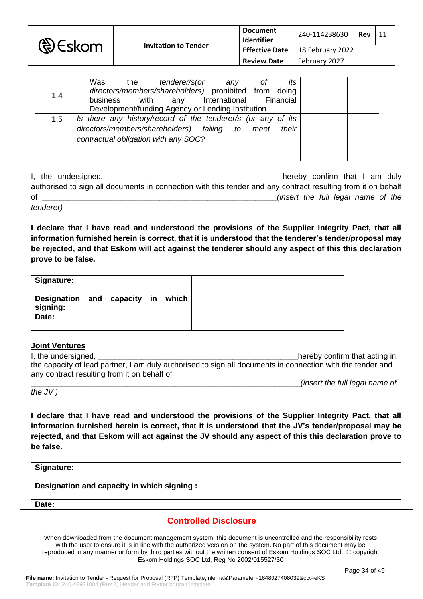

| 1.4 | Was<br>its<br>tenderer/s(or<br>the<br>0f<br>any<br>directors/members/shareholders) prohibited from doing<br>Financial<br>International<br>with<br>business<br>anv<br>Development/funding Agency or Lending Institution |  |  |
|-----|------------------------------------------------------------------------------------------------------------------------------------------------------------------------------------------------------------------------|--|--|
| 1.5 | Is there any history/record of the tenderer/s (or any of its<br>directors/members/shareholders) failing<br>their<br>to<br>meet<br>contractual obligation with any SOC?                                                 |  |  |

I, the undersigned, \_\_\_\_\_\_\_\_\_\_\_\_\_\_\_\_\_\_\_\_\_\_\_\_\_\_\_\_\_\_\_\_\_\_\_\_\_\_\_\_hereby confirm that I am duly authorised to sign all documents in connection with this tender and any contract resulting from it on behalf of \_\_\_\_\_\_\_\_\_\_\_\_\_\_\_\_\_\_\_\_\_\_\_\_\_\_\_\_\_\_\_\_\_\_\_\_\_\_\_\_\_\_\_\_\_\_\_\_\_\_\_\_\_\_*(insert the full legal name of the* 

*tenderer)*

**I declare that I have read and understood the provisions of the Supplier Integrity Pact, that all**  information furnished herein is correct, that it is understood that the tenderer's tender/proposal may **be rejected, and that Eskom will act against the tenderer should any aspect of this this declaration prove to be false.**

| Signature:                                    |  |  |  |
|-----------------------------------------------|--|--|--|
| Designation and capacity in which<br>signing: |  |  |  |
| Date:                                         |  |  |  |

### **Joint Ventures**

I, the undersigned, the undersigned, the understanding in the understanding in the understanding in the understanding in the understanding in the understanding in the understanding in the understanding in the understanding the capacity of lead partner, I am duly authorised to sign all documents in connection with the tender and any contract resulting from it on behalf of \_\_\_\_\_\_\_\_\_\_\_\_\_\_\_\_\_\_\_\_\_\_\_\_\_\_\_\_\_\_\_\_\_\_\_\_\_\_\_\_\_\_\_\_\_\_\_\_\_\_\_\_\_\_\_\_\_\_\_\_\_\_*(insert the full legal name of* 

*the JV )*.

**I declare that I have read and understood the provisions of the Supplier Integrity Pact, that all information furnished herein is correct, that it is understood that the JV's tender/proposal may be rejected, and that Eskom will act against the JV should any aspect of this this declaration prove to be false.**

| Signature:                                  |  |
|---------------------------------------------|--|
| Designation and capacity in which signing : |  |
| Date:                                       |  |

# **Controlled Disclosure**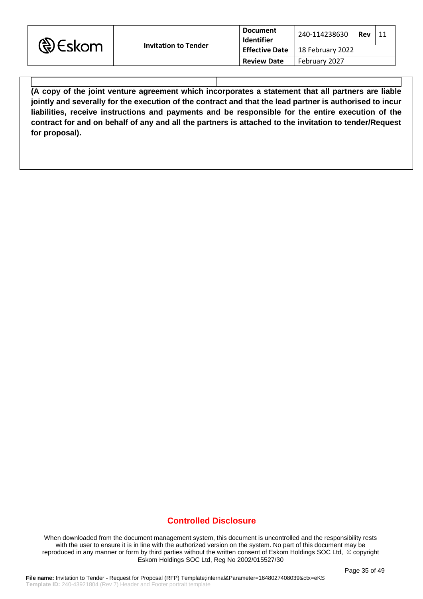| <b>D</b> Eskom | <b>Invitation to Tender</b> | <b>Document</b><br><b>Identifier</b> | 240-114238630<br>Rev                     |  |  |
|----------------|-----------------------------|--------------------------------------|------------------------------------------|--|--|
|                |                             |                                      | <b>Effective Date</b>   18 February 2022 |  |  |
|                |                             | <b>Review Date</b>                   | February 2027                            |  |  |

**(A copy of the joint venture agreement which incorporates a statement that all partners are liable jointly and severally for the execution of the contract and that the lead partner is authorised to incur liabilities, receive instructions and payments and be responsible for the entire execution of the contract for and on behalf of any and all the partners is attached to the invitation to tender/Request for proposal).**

## **Controlled Disclosure**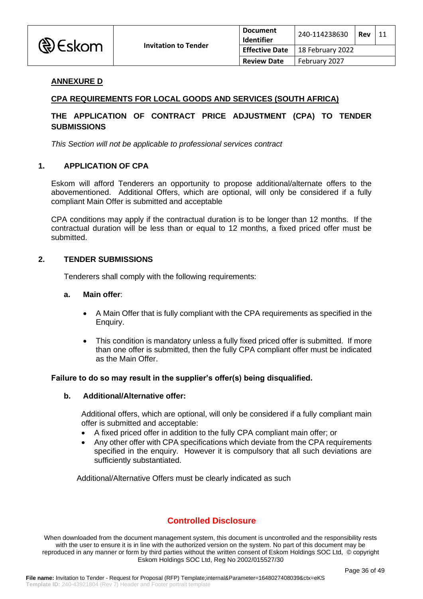

#### **ANNEXURE D**

#### **CPA REQUIREMENTS FOR LOCAL GOODS AND SERVICES (SOUTH AFRICA)**

### **THE APPLICATION OF CONTRACT PRICE ADJUSTMENT (CPA) TO TENDER SUBMISSIONS**

*This Section will not be applicable to professional services contract*

#### **1. APPLICATION OF CPA**

Eskom will afford Tenderers an opportunity to propose additional/alternate offers to the abovementioned. Additional Offers, which are optional, will only be considered if a fully compliant Main Offer is submitted and acceptable

CPA conditions may apply if the contractual duration is to be longer than 12 months. If the contractual duration will be less than or equal to 12 months, a fixed priced offer must be submitted.

#### **2. TENDER SUBMISSIONS**

Tenderers shall comply with the following requirements:

#### **a. Main offer**:

- A Main Offer that is fully compliant with the CPA requirements as specified in the Enquiry.
- This condition is mandatory unless a fully fixed priced offer is submitted. If more than one offer is submitted, then the fully CPA compliant offer must be indicated as the Main Offer.

#### **Failure to do so may result in the supplier's offer(s) being disqualified.**

#### **b. Additional/Alternative offer:**

Additional offers, which are optional, will only be considered if a fully compliant main offer is submitted and acceptable:

- A fixed priced offer in addition to the fully CPA compliant main offer; or
- Any other offer with CPA specifications which deviate from the CPA requirements specified in the enquiry. However it is compulsory that all such deviations are sufficiently substantiated.

Additional/Alternative Offers must be clearly indicated as such

## **Controlled Disclosure**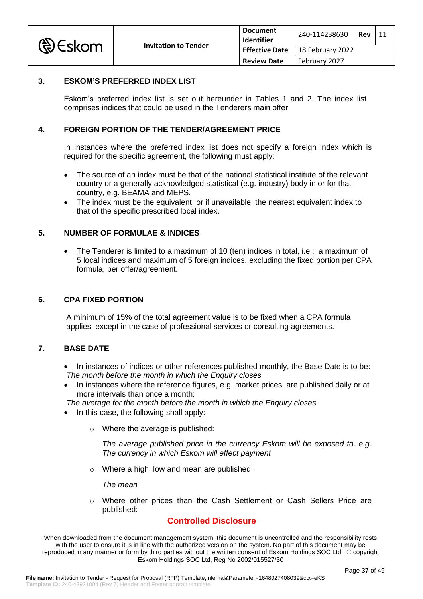

### **3. ESKOM'S PREFERRED INDEX LIST**

Eskom's preferred index list is set out hereunder in Tables 1 and 2. The index list comprises indices that could be used in the Tenderers main offer.

### **4. FOREIGN PORTION OF THE TENDER/AGREEMENT PRICE**

In instances where the preferred index list does not specify a foreign index which is required for the specific agreement, the following must apply:

- The source of an index must be that of the national statistical institute of the relevant country or a generally acknowledged statistical (e.g. industry) body in or for that country, e.g. BEAMA and MEPS.
- The index must be the equivalent, or if unavailable, the nearest equivalent index to that of the specific prescribed local index.

### **5. NUMBER OF FORMULAE & INDICES**

• The Tenderer is limited to a maximum of 10 (ten) indices in total, i.e.: a maximum of 5 local indices and maximum of 5 foreign indices, excluding the fixed portion per CPA formula, per offer/agreement.

#### **6. CPA FIXED PORTION**

A minimum of 15% of the total agreement value is to be fixed when a CPA formula applies; except in the case of professional services or consulting agreements.

### **7. BASE DATE**

- In instances of indices or other references published monthly, the Base Date is to be:  *The month before the month in which the Enquiry closes*
- In instances where the reference figures, e.g. market prices, are published daily or at more intervals than once a month:

 *The average for the month before the month in which the Enquiry closes*

- In this case, the following shall apply:
	- o Where the average is published:

*The average published price in the currency Eskom will be exposed to. e.g. The currency in which Eskom will effect payment*

o Where a high, low and mean are published:

*The mean*

o Where other prices than the Cash Settlement or Cash Sellers Price are published:

### **Controlled Disclosure**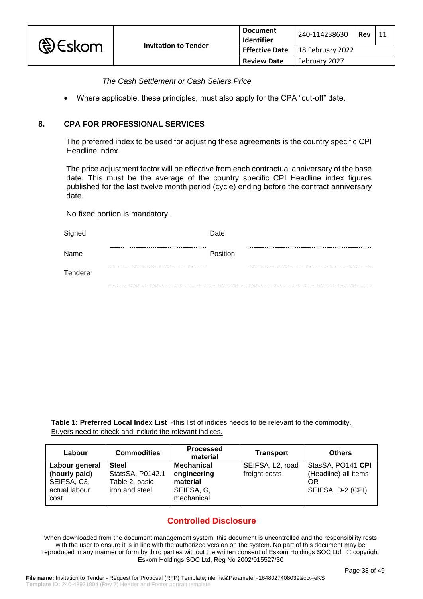

|                       | <b>Document</b><br>Identifier | 240-114238630    | Rev |  |
|-----------------------|-------------------------------|------------------|-----|--|
| <b>Effective Date</b> |                               | 18 February 2022 |     |  |
|                       | <b>Review Date</b>            | February 2027    |     |  |

*The Cash Settlement or Cash Sellers Price*

• Where applicable, these principles, must also apply for the CPA "cut-off" date.

#### **8. CPA FOR PROFESSIONAL SERVICES**

The preferred index to be used for adjusting these agreements is the country specific CPI Headline index.

The price adjustment factor will be effective from each contractual anniversary of the base date. This must be the average of the country specific CPI Headline index figures published for the last twelve month period (cycle) ending before the contract anniversary date.

No fixed portion is mandatory.

| Signed   | Date     |
|----------|----------|
| Name     | Position |
| Tenderer |          |
|          |          |

**Table 1: Preferred Local Index List** -this list of indices needs to be relevant to the commodity. Buyers need to check and include the relevant indices.

| Labour                                                                  | <b>Commodities</b>                                                   | <b>Processed</b><br>material                                      | <b>Transport</b>                               | <b>Others</b>                                                        |
|-------------------------------------------------------------------------|----------------------------------------------------------------------|-------------------------------------------------------------------|------------------------------------------------|----------------------------------------------------------------------|
| Labour general<br>(hourly paid)<br>SEIFSA, C3,<br>actual labour<br>cost | <b>Steel</b><br>StatsSA, P0142.1<br>Table 2, basic<br>iron and steel | Mechanical<br>engineering<br>material<br>SEIFSA, G,<br>mechanical | SEIFSA, L <sub>2</sub> , road<br>freight costs | StasSA, PO141 CPI<br>(Headline) all items<br>OR<br>SEIFSA, D-2 (CPI) |

# **Controlled Disclosure**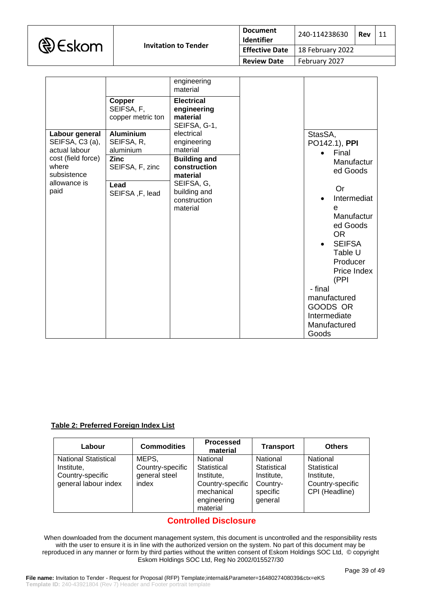|  | <b>D</b> Eskom |
|--|----------------|
|--|----------------|

|                                                                          |                                                            | engineering<br>material                                      |                                                                                                  |
|--------------------------------------------------------------------------|------------------------------------------------------------|--------------------------------------------------------------|--------------------------------------------------------------------------------------------------|
|                                                                          | Copper<br>SEIFSA, F,<br>copper metric ton                  | <b>Electrical</b><br>engineering<br>material<br>SEIFSA, G-1, |                                                                                                  |
| Labour general<br>SEIFSA, C3 (a),<br>actual labour<br>cost (field force) | <b>Aluminium</b><br>SEIFSA, R.<br>aluminium<br><b>Zinc</b> | electrical<br>engineering<br>material<br><b>Building and</b> | StasSA,<br>PO142.1), PPI<br>Final<br>Manufactur                                                  |
| where<br>subsistence<br>allowance is                                     | SEIFSA, F, zinc<br>Lead                                    | construction<br>material<br>SEIFSA, G,                       | ed Goods                                                                                         |
| paid                                                                     | SEIFSA, F, lead                                            | building and<br>construction<br>material                     | <b>Or</b><br>Intermediat<br>e<br>Manufactur<br>ed Goods<br><b>OR</b><br><b>SEIFSA</b><br>Table U |
|                                                                          |                                                            |                                                              | Producer<br>Price Index<br>(PPI                                                                  |
|                                                                          |                                                            |                                                              | - final<br>manufactured<br>GOODS OR<br>Intermediate<br>Manufactured<br>Goods                     |

#### **Table 2: Preferred Foreign Index List**

| Labour                      | <b>Commodities</b> | <b>Processed</b><br>material | <b>Transport</b> | <b>Others</b>    |
|-----------------------------|--------------------|------------------------------|------------------|------------------|
| <b>National Statistical</b> | MEPS,              | National                     | National         | National         |
| Institute,                  | Country-specific   | Statistical                  | Statistical      | Statistical      |
| Country-specific            | general steel      | Institute,                   | Institute,       | Institute,       |
| general labour index        | index              | Country-specific             | Country-         | Country-specific |
|                             |                    | mechanical                   | specific         | CPI (Headline)   |
|                             |                    | engineering                  | general          |                  |
|                             |                    | material                     |                  |                  |

## **Controlled Disclosure**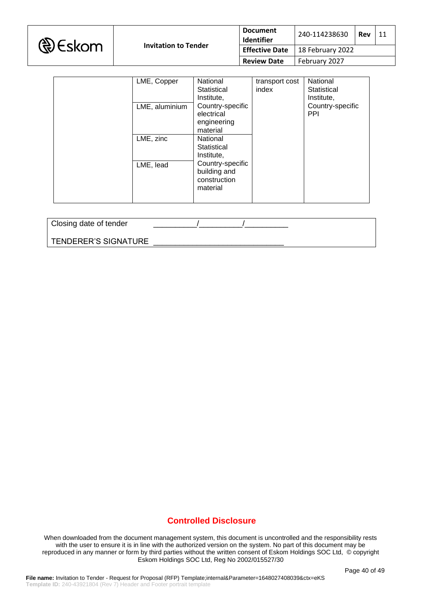|  | <b>D</b> Eskom |
|--|----------------|
|--|----------------|

| <b>Document</b><br>Identifier | 240-114238630                            | Rev | 11 |
|-------------------------------|------------------------------------------|-----|----|
|                               | <b>Effective Date</b>   18 February 2022 |     |    |
| <b>Review Date</b>            | February 2027                            |     |    |

| LME, Copper    | National                                                     | transport cost | National                       |
|----------------|--------------------------------------------------------------|----------------|--------------------------------|
|                | Statistical                                                  | index          | Statistical                    |
|                | Institute,                                                   |                | Institute,                     |
| LME, aluminium | Country-specific<br>electrical<br>engineering<br>material    |                | Country-specific<br><b>PPI</b> |
| LME, zinc      | National                                                     |                |                                |
|                | Statistical                                                  |                |                                |
|                | Institute,                                                   |                |                                |
| LME, lead      | Country-specific<br>building and<br>construction<br>material |                |                                |
|                |                                                              |                |                                |

Closing date of tender

TENDERER'S SIGNATURE

## **Controlled Disclosure**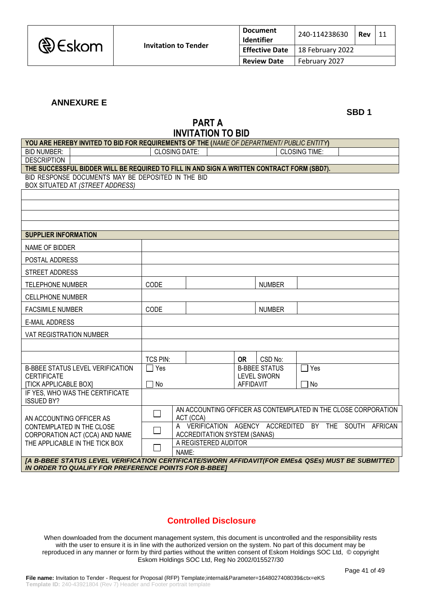# **ANNEXURE E**

**SBD 1**

# **PART A INVITATION TO BID**

| YOU ARE HEREBY INVITED TO BID FOR REQUIREMENTS OF THE (NAME OF DEPARTMENT/PUBLIC ENTITY)                                                                   |                 |                                                                |                  |                      |                      |  |  |
|------------------------------------------------------------------------------------------------------------------------------------------------------------|-----------------|----------------------------------------------------------------|------------------|----------------------|----------------------|--|--|
| <b>BID NUMBER:</b>                                                                                                                                         |                 | <b>CLOSING DATE:</b>                                           |                  |                      | <b>CLOSING TIME:</b> |  |  |
| <b>DESCRIPTION</b>                                                                                                                                         |                 |                                                                |                  |                      |                      |  |  |
| THE SUCCESSFUL BIDDER WILL BE REQUIRED TO FILL IN AND SIGN A WRITTEN CONTRACT FORM (SBD7).<br>BID RESPONSE DOCUMENTS MAY BE DEPOSITED IN THE BID           |                 |                                                                |                  |                      |                      |  |  |
| BOX SITUATED AT (STREET ADDRESS)                                                                                                                           |                 |                                                                |                  |                      |                      |  |  |
|                                                                                                                                                            |                 |                                                                |                  |                      |                      |  |  |
|                                                                                                                                                            |                 |                                                                |                  |                      |                      |  |  |
|                                                                                                                                                            |                 |                                                                |                  |                      |                      |  |  |
|                                                                                                                                                            |                 |                                                                |                  |                      |                      |  |  |
| <b>SUPPLIER INFORMATION</b>                                                                                                                                |                 |                                                                |                  |                      |                      |  |  |
| NAME OF BIDDER                                                                                                                                             |                 |                                                                |                  |                      |                      |  |  |
| POSTAL ADDRESS                                                                                                                                             |                 |                                                                |                  |                      |                      |  |  |
| STREET ADDRESS                                                                                                                                             |                 |                                                                |                  |                      |                      |  |  |
| <b>TELEPHONE NUMBER</b>                                                                                                                                    | CODE            |                                                                |                  | <b>NUMBER</b>        |                      |  |  |
| <b>CELLPHONE NUMBER</b>                                                                                                                                    |                 |                                                                |                  |                      |                      |  |  |
| <b>FACSIMILE NUMBER</b>                                                                                                                                    | CODE            |                                                                |                  | <b>NUMBER</b>        |                      |  |  |
| <b>E-MAIL ADDRESS</b>                                                                                                                                      |                 |                                                                |                  |                      |                      |  |  |
| VAT REGISTRATION NUMBER                                                                                                                                    |                 |                                                                |                  |                      |                      |  |  |
|                                                                                                                                                            |                 |                                                                |                  |                      |                      |  |  |
|                                                                                                                                                            | <b>TCS PIN:</b> |                                                                | <b>OR</b>        | CSD No:              |                      |  |  |
| <b>B-BBEE STATUS LEVEL VERIFICATION</b>                                                                                                                    | $\sqsupset$ Yes |                                                                |                  | <b>B-BBEE STATUS</b> | $\exists$ Yes        |  |  |
| <b>CERTIFICATE</b><br><b>[TICK APPLICABLE BOX]</b>                                                                                                         | No              |                                                                | <b>AFFIDAVIT</b> | <b>LEVEL SWORN</b>   | No                   |  |  |
| IF YES, WHO WAS THE CERTIFICATE                                                                                                                            |                 |                                                                |                  |                      |                      |  |  |
| <b>ISSUED BY?</b>                                                                                                                                          |                 | AN ACCOUNTING OFFICER AS CONTEMPLATED IN THE CLOSE CORPORATION |                  |                      |                      |  |  |
| AN ACCOUNTING OFFICER AS                                                                                                                                   | $\Box$          | ACT (CCA)                                                      |                  |                      |                      |  |  |
| CONTEMPLATED IN THE CLOSE                                                                                                                                  | $\Box$          | A VERIFICATION AGENCY ACCREDITED BY THE SOUTH AFRICAN          |                  |                      |                      |  |  |
| CORPORATION ACT (CCA) AND NAME                                                                                                                             |                 | <b>ACCREDITATION SYSTEM (SANAS)</b>                            |                  |                      |                      |  |  |
| THE APPLICABLE IN THE TICK BOX                                                                                                                             |                 | A REGISTERED AUDITOR                                           |                  |                      |                      |  |  |
|                                                                                                                                                            |                 | NAME:                                                          |                  |                      |                      |  |  |
| [A B-BBEE STATUS LEVEL VERIFICATION CERTIFICATE/SWORN AFFIDAVIT(FOR EMES& QSEs) MUST BE SUBMITTED<br>IN ORDER TO QUALIFY FOR PREFERENCE POINTS FOR B-BBEE] |                 |                                                                |                  |                      |                      |  |  |

# **Controlled Disclosure**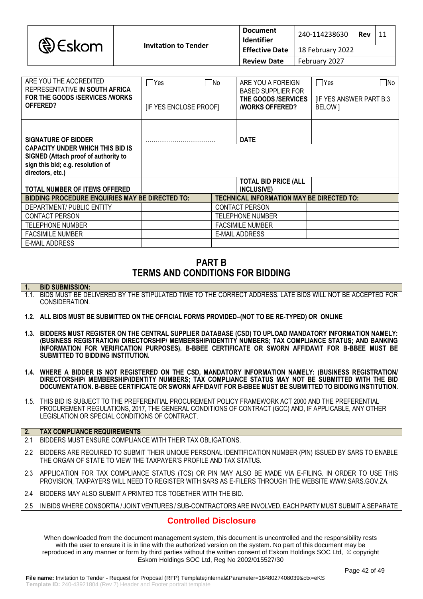|  | <b>&amp;</b> Eskom |
|--|--------------------|
|--|--------------------|

| <b>Document</b><br>Identifier | 240-114238630    | Rev |  |
|-------------------------------|------------------|-----|--|
| <b>Effective Date</b>         | 18 February 2022 |     |  |
| <b>Review Date</b>            | February 2027    |     |  |

| ARE YOU THE ACCREDITED<br>REPRESENTATIVE IN SOUTH AFRICA<br>FOR THE GOODS /SERVICES /WORKS<br>OFFERED?                                   | $\sqsupset$ Yes<br>[IF YES ENCLOSE PROOF] | - INo | ARE YOU A FOREIGN<br><b>BASED SUPPLIER FOR</b><br>THE GOODS /SERVICES<br><b><i>NORKS OFFERED?</i></b> | Yes<br>- INo<br><b>IF YES ANSWER PART B:3</b><br>BELOW 1 |
|------------------------------------------------------------------------------------------------------------------------------------------|-------------------------------------------|-------|-------------------------------------------------------------------------------------------------------|----------------------------------------------------------|
| <b>SIGNATURE OF BIDDER</b>                                                                                                               |                                           |       | <b>DATE</b>                                                                                           |                                                          |
| <b>CAPACITY UNDER WHICH THIS BID IS</b><br>SIGNED (Attach proof of authority to<br>sign this bid; e.g. resolution of<br>directors, etc.) |                                           |       |                                                                                                       |                                                          |
| <b>TOTAL NUMBER OF ITEMS OFFERED</b>                                                                                                     |                                           |       | <b>TOTAL BID PRICE (ALL</b><br>INCLUSIVE)                                                             |                                                          |
| <b>BIDDING PROCEDURE ENQUIRIES MAY BE DIRECTED TO:</b>                                                                                   |                                           |       | TECHNICAL INFORMATION MAY BE DIRECTED TO:                                                             |                                                          |
| DEPARTMENT/ PUBLIC ENTITY                                                                                                                |                                           |       | <b>CONTACT PERSON</b>                                                                                 |                                                          |
| <b>CONTACT PERSON</b>                                                                                                                    |                                           |       | TELEPHONE NUMBER                                                                                      |                                                          |
| <b>TELEPHONE NUMBER</b>                                                                                                                  |                                           |       | <b>FACSIMILE NUMBER</b>                                                                               |                                                          |
| <b>FACSIMILE NUMBER</b>                                                                                                                  |                                           |       | E-MAIL ADDRESS                                                                                        |                                                          |
| <b>E-MAIL ADDRESS</b>                                                                                                                    |                                           |       |                                                                                                       |                                                          |

# **PART B TERMS AND CONDITIONS FOR BIDDING**

#### **1. BID SUBMISSION:**

- 1.1. BIDS MUST BE DELIVERED BY THE STIPULATED TIME TO THE CORRECT ADDRESS. LATE BIDS WILL NOT BE ACCEPTED FOR CONSIDERATION.
- **1.2. ALL BIDS MUST BE SUBMITTED ON THE OFFICIAL FORMS PROVIDED–(NOT TO BE RE-TYPED) OR ONLINE**
- **1.3. BIDDERS MUST REGISTER ON THE CENTRAL SUPPLIER DATABASE (CSD) TO UPLOAD MANDATORY INFORMATION NAMELY: (BUSINESS REGISTRATION/ DIRECTORSHIP/ MEMBERSHIP/IDENTITY NUMBERS; TAX COMPLIANCE STATUS; AND BANKING INFORMATION FOR VERIFICATION PURPOSES). B-BBEE CERTIFICATE OR SWORN AFFIDAVIT FOR B-BBEE MUST BE SUBMITTED TO BIDDING INSTITUTION.**
- **1.4. WHERE A BIDDER IS NOT REGISTERED ON THE CSD, MANDATORY INFORMATION NAMELY: (BUSINESS REGISTRATION/ DIRECTORSHIP/ MEMBERSHIP/IDENTITY NUMBERS; TAX COMPLIANCE STATUS MAY NOT BE SUBMITTED WITH THE BID DOCUMENTATION. B-BBEE CERTIFICATE OR SWORN AFFIDAVIT FOR B-BBEE MUST BE SUBMITTED TO BIDDING INSTITUTION.**
- 1.5. THIS BID IS SUBJECT TO THE PREFERENTIAL PROCUREMENT POLICY FRAMEWORK ACT 2000 AND THE PREFERENTIAL PROCUREMENT REGULATIONS, 2017, THE GENERAL CONDITIONS OF CONTRACT (GCC) AND, IF APPLICABLE, ANY OTHER LEGISLATION OR SPECIAL CONDITIONS OF CONTRACT.

#### **2. TAX COMPLIANCE REQUIREMENTS**

- 2.1 BIDDERS MUST ENSURE COMPLIANCE WITH THEIR TAX OBLIGATIONS.
- 2.2 BIDDERS ARE REQUIRED TO SUBMIT THEIR UNIQUE PERSONAL IDENTIFICATION NUMBER (PIN) ISSUED BY SARS TO ENABLE THE ORGAN OF STATE TO VIEW THE TAXPAYER'S PROFILE AND TAX STATUS.
- 2.3 APPLICATION FOR TAX COMPLIANCE STATUS (TCS) OR PIN MAY ALSO BE MADE VIA E-FILING. IN ORDER TO USE THIS PROVISION, TAXPAYERS WILL NEED TO REGISTER WITH SARS AS E-FILERS THROUGH THE WEBSITE [WWW.SARS.GOV.ZA.](http://www.sars.gov.za/)
- 2.4 BIDDERS MAY ALSO SUBMIT A PRINTED TCS TOGETHER WITH THE BID.
- 2.5 IN BIDS WHERE CONSORTIA / JOINT VENTURES / SUB-CONTRACTORS ARE INVOLVED, EACH PARTY MUST SUBMIT A SEPARATE

## **Controlled Disclosure**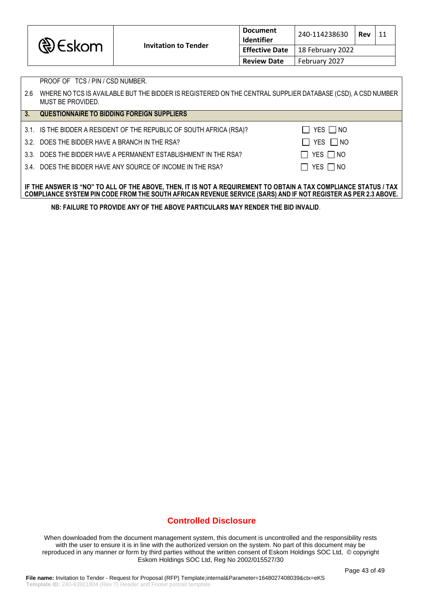| <b>৻</b> €€skom |                             | <b>Document</b><br><b>Identifier</b> | 240-114238630<br>Rev     |  | 11 |
|-----------------|-----------------------------|--------------------------------------|--------------------------|--|----|
|                 | <b>Invitation to Tender</b> | <b>Effective Date</b>                | $\vert$ 18 February 2022 |  |    |
|                 |                             | <b>Review Date</b>                   | February 2027            |  |    |

PROOF OF TCS / PIN / CSD NUMBER.

 $\Box$  YES  $\Box$  NO

| 3.1. IS THE BIDDER A RESIDENT OF THE REPUBLIC OF SOUTH AFRICA (RSA)? |  |  |  |
|----------------------------------------------------------------------|--|--|--|

3.2. DOES THE BIDDER HAVE A BRANCH IN THE RSA?  $\Box$  YES  $\Box$  NO

3.3. DOES THE BIDDER HAVE A PERMANENT ESTABLISHMENT IN THE RSA?  $\Box$  YES  $\Box$  NO

3.4. DOES THE BIDDER HAVE ANY SOURCE OF INCOME IN THE RSA?  $\Box$  YES  $\Box$  NO

#### **IF THE ANSWER IS "NO" TO ALL OF THE ABOVE, THEN, IT IS NOT A REQUIREMENT TO OBTAIN A TAX COMPLIANCE STATUS / TAX COMPLIANCE SYSTEM PIN CODE FROM THE SOUTH AFRICAN REVENUE SERVICE (SARS) AND IF NOT REGISTER AS PER 2.3 ABOVE.**

**NB: FAILURE TO PROVIDE ANY OF THE ABOVE PARTICULARS MAY RENDER THE BID INVALID**.

### **Controlled Disclosure**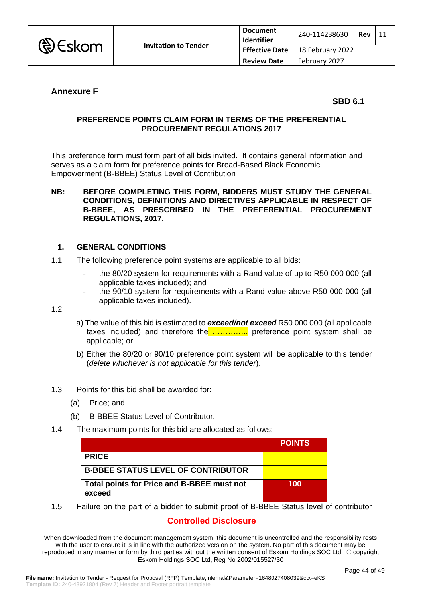

| <b>Document</b><br>Identifier | 240-114238630    | Rev |  |
|-------------------------------|------------------|-----|--|
| <b>Effective Date</b>         | 18 February 2022 |     |  |
| <b>Review Date</b>            | February 2027    |     |  |

## **Annexure F**

**SBD 6.1**

### **PREFERENCE POINTS CLAIM FORM IN TERMS OF THE PREFERENTIAL PROCUREMENT REGULATIONS 2017**

This preference form must form part of all bids invited. It contains general information and serves as a claim form for preference points for Broad-Based Black Economic Empowerment (B-BBEE) Status Level of Contribution

#### **NB: BEFORE COMPLETING THIS FORM, BIDDERS MUST STUDY THE GENERAL CONDITIONS, DEFINITIONS AND DIRECTIVES APPLICABLE IN RESPECT OF B-BBEE, AS PRESCRIBED IN THE PREFERENTIAL PROCUREMENT REGULATIONS, 2017.**

### **1. GENERAL CONDITIONS**

- 1.1 The following preference point systems are applicable to all bids:
	- the 80/20 system for requirements with a Rand value of up to R50 000 000 (all applicable taxes included); and
	- the 90/10 system for requirements with a Rand value above R50 000 000 (all applicable taxes included).

1.2

- a) The value of this bid is estimated to *exceed/not exceed* R50 000 000 (all applicable taxes included) and therefore the  $\ldots$  ereference point system shall be applicable; or
- b) Either the 80/20 or 90/10 preference point system will be applicable to this tender (*delete whichever is not applicable for this tender*).
- 1.3 Points for this bid shall be awarded for:
	- (a) Price; and
	- (b) B-BBEE Status Level of Contributor.
- 1.4 The maximum points for this bid are allocated as follows:

|                                                      | <b>POINTS</b> |
|------------------------------------------------------|---------------|
| <b>PRICE</b>                                         |               |
| <b>B-BBEE STATUS LEVEL OF CONTRIBUTOR</b>            |               |
| Total points for Price and B-BBEE must not<br>exceed | 100           |

1.5 Failure on the part of a bidder to submit proof of B-BBEE Status level of contributor

### **Controlled Disclosure**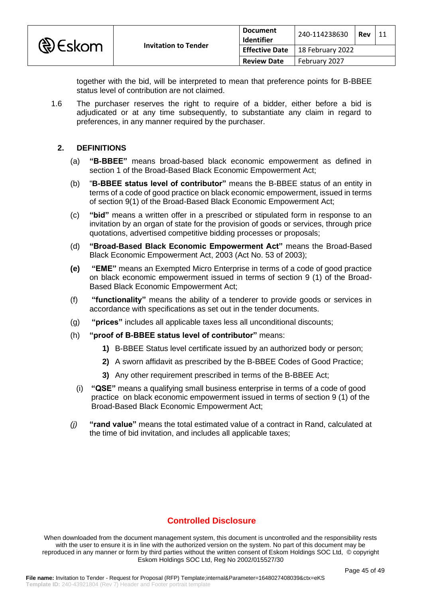

together with the bid, will be interpreted to mean that preference points for B-BBEE status level of contribution are not claimed.

1.6 The purchaser reserves the right to require of a bidder, either before a bid is adjudicated or at any time subsequently, to substantiate any claim in regard to preferences, in any manner required by the purchaser.

### **2. DEFINITIONS**

- (a) **"B-BBEE"** means broad-based black economic empowerment as defined in section 1 of the Broad-Based Black Economic Empowerment Act;
- (b) "**B-BBEE status level of contributor"** means the B-BBEE status of an entity in terms of a code of good practice on black economic empowerment, issued in terms of section 9(1) of the Broad-Based Black Economic Empowerment Act;
- (c) **"bid"** means a written offer in a prescribed or stipulated form in response to an invitation by an organ of state for the provision of goods or services, through price quotations, advertised competitive bidding processes or proposals;
- (d) **"Broad-Based Black Economic Empowerment Act"** means the Broad-Based Black Economic Empowerment Act, 2003 (Act No. 53 of 2003);
- **(e) "EME"** means an Exempted Micro Enterprise in terms of a code of good practice on black economic empowerment issued in terms of section 9 (1) of the Broad-Based Black Economic Empowerment Act;
- (f) **"functionality"** means the ability of a tenderer to provide goods or services in accordance with specifications as set out in the tender documents.
- (g) **"prices"** includes all applicable taxes less all unconditional discounts;
- (h) **"proof of B-BBEE status level of contributor"** means:
	- **1)** B-BBEE Status level certificate issued by an authorized body or person;
	- **2)** A sworn affidavit as prescribed by the B-BBEE Codes of Good Practice;
	- **3)** Any other requirement prescribed in terms of the B-BBEE Act;
	- (i) **"QSE"** means a qualifying small business enterprise in terms of a code of good practice on black economic empowerment issued in terms of section 9 (1) of the Broad-Based Black Economic Empowerment Act;
- *(j)* **"rand value"** means the total estimated value of a contract in Rand, calculated at the time of bid invitation, and includes all applicable taxes;

# **Controlled Disclosure**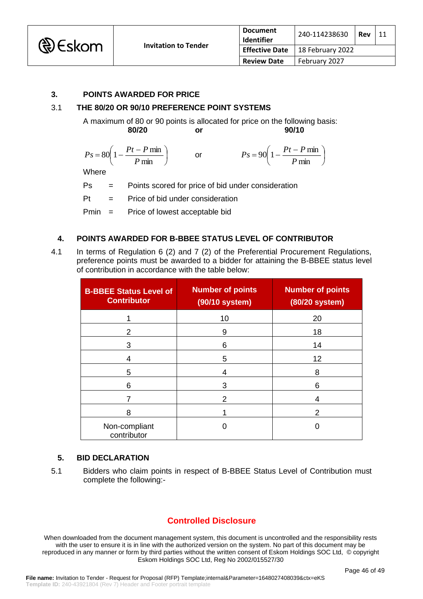

### **3. POINTS AWARDED FOR PRICE**

### 3.1 **THE 80/20 OR 90/10 PREFERENCE POINT SYSTEMS**

A maximum of 80 or 90 points is allocated for price on the following basis: **80/20 or 90/10**

| $P_S = 80 \left( 1 - \frac{Pt - P \min}{\sigma} \right)$<br>$P$ min | $P_S = 90 \left( 1 - \frac{Pt - P \min}{\sigma} \right)$<br>$P$ min |  |
|---------------------------------------------------------------------|---------------------------------------------------------------------|--|
| $A H_{1} = 1$                                                       |                                                                     |  |

Where

Ps = Points scored for price of bid under consideration

Pt = Price of bid under consideration

Pmin = Price of lowest acceptable bid

#### **4. POINTS AWARDED FOR B-BBEE STATUS LEVEL OF CONTRIBUTOR**

4.1 In terms of Regulation 6 (2) and 7 (2) of the Preferential Procurement Regulations, preference points must be awarded to a bidder for attaining the B-BBEE status level of contribution in accordance with the table below:

| <b>B-BBEE Status Level of</b><br><b>Contributor</b> | <b>Number of points</b><br>(90/10 system) | <b>Number of points</b><br>(80/20 system) |
|-----------------------------------------------------|-------------------------------------------|-------------------------------------------|
|                                                     | 10                                        | 20                                        |
| 2                                                   | 9                                         | 18                                        |
| 3                                                   | 6                                         | 14                                        |
| 4                                                   | 5                                         | 12                                        |
| 5                                                   | 4                                         | 8                                         |
| 6                                                   | 3                                         | 6                                         |
|                                                     | 2                                         | 4                                         |
| 8                                                   |                                           | 2                                         |
| Non-compliant<br>contributor                        |                                           |                                           |

#### **5. BID DECLARATION**

5.1 Bidders who claim points in respect of B-BBEE Status Level of Contribution must complete the following:-

## **Controlled Disclosure**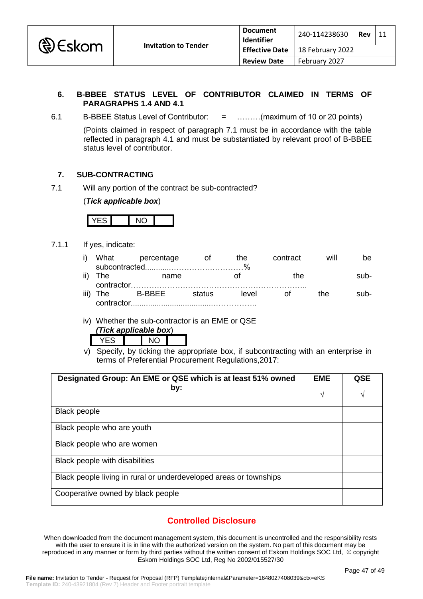

### **6. B-BBEE STATUS LEVEL OF CONTRIBUTOR CLAIMED IN TERMS OF PARAGRAPHS 1.4 AND 4.1**

6.1 B-BBEE Status Level of Contributor: = ………(maximum of 10 or 20 points)

(Points claimed in respect of paragraph 7.1 must be in accordance with the table reflected in paragraph 4.1 and must be substantiated by relevant proof of B-BBEE status level of contributor.

### **7. SUB-CONTRACTING**

7.1 Will any portion of the contract be sub-contracted?

(*Tick applicable box*)



7.1.1 If yes, indicate:

|            | i) What percentage | <b>of</b> | the   | contract | will | he.    |
|------------|--------------------|-----------|-------|----------|------|--------|
|            |                    |           |       |          |      |        |
| ii) The    | name               |           |       | the      |      | $sub-$ |
|            |                    |           |       |          |      |        |
|            | iii) The B-BBEE    | status    | level | ot of    | the. | sub-   |
| contractor |                    |           |       |          |      |        |

iv) Whether the sub-contractor is an EME or QSE

| (Tick applicable box) |  |  |
|-----------------------|--|--|
|                       |  |  |

v) Specify, by ticking the appropriate box, if subcontracting with an enterprise in terms of Preferential Procurement Regulations,2017:

| Designated Group: An EME or QSE which is at least 51% owned       |   | <b>QSE</b> |
|-------------------------------------------------------------------|---|------------|
| by:                                                               | V | V          |
| <b>Black people</b>                                               |   |            |
| Black people who are youth                                        |   |            |
| Black people who are women                                        |   |            |
| Black people with disabilities                                    |   |            |
| Black people living in rural or underdeveloped areas or townships |   |            |
| Cooperative owned by black people                                 |   |            |

## **Controlled Disclosure**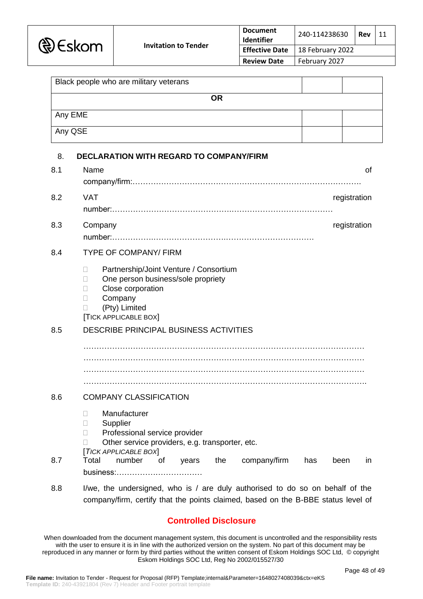| Black people who are military veterans |  |  |
|----------------------------------------|--|--|
| <b>OR</b>                              |  |  |
| Any EME                                |  |  |
| Any QSE                                |  |  |

| 8.  | <b>DECLARATION WITH REGARD TO COMPANY/FIRM</b>                                                                                                                                                                                                  |
|-----|-------------------------------------------------------------------------------------------------------------------------------------------------------------------------------------------------------------------------------------------------|
| 8.1 | Name<br><b>of</b>                                                                                                                                                                                                                               |
| 8.2 | <b>VAT</b><br>registration                                                                                                                                                                                                                      |
| 8.3 | registration<br>Company                                                                                                                                                                                                                         |
| 8.4 | <b>TYPE OF COMPANY/ FIRM</b>                                                                                                                                                                                                                    |
|     | Partnership/Joint Venture / Consortium<br>П<br>One person business/sole propriety<br>$\mathbf{L}$<br>Close corporation<br>П<br>Company<br>$\Box$<br>(Pty) Limited<br><b>[TICK APPLICABLE BOX]</b>                                               |
| 8.5 | DESCRIBE PRINCIPAL BUSINESS ACTIVITIES                                                                                                                                                                                                          |
|     |                                                                                                                                                                                                                                                 |
| 8.6 | <b>COMPANY CLASSIFICATION</b>                                                                                                                                                                                                                   |
| 8.7 | Manufacturer<br>П.<br>Supplier<br>П<br>Professional service provider<br>$\Box$<br>Other service providers, e.g. transporter, etc.<br>[TICK APPLICABLE BOX]<br>Total<br>number<br>of<br>the<br>company/firm<br>years<br>has<br>been<br><i>in</i> |
|     |                                                                                                                                                                                                                                                 |

8.8 I/we, the undersigned, who is / are duly authorised to do so on behalf of the company/firm, certify that the points claimed, based on the B-BBE status level of

# **Controlled Disclosure**